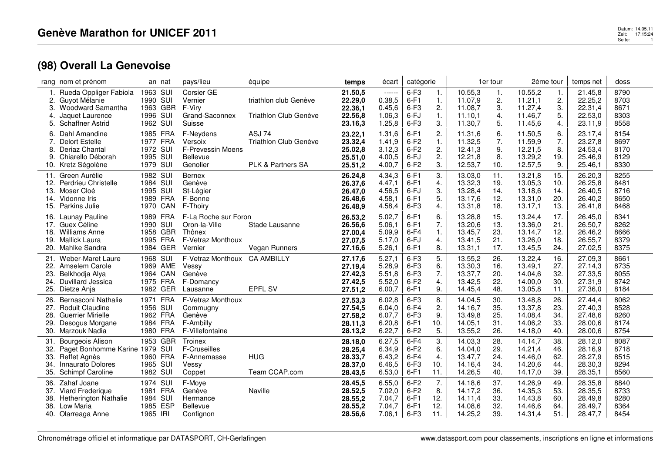## Datum: 14.05.11<br>Zeit: 17:15:24<br>Seite: 17:15:24 Seite:1

|     | rang nom et prénom                   |          | an nat     | pays/lieu                | équipe                       | temps              | écart            | catégorie        |                      |                    | 1er tour | 2ème tour          |          | temps net          | doss         |
|-----|--------------------------------------|----------|------------|--------------------------|------------------------------|--------------------|------------------|------------------|----------------------|--------------------|----------|--------------------|----------|--------------------|--------------|
|     | 1. Rueda Oppliger Fabiola            | 1963 SUI |            | Corsier GE               |                              | 21.50,5            | $-----1$         | $6-F3$           | 1.                   | 10.55,3            | 1.       | 10.55,2            | 1.       | 21.45,8            | 8790         |
| 3.  | Guyot Mélanie                        | 1990 SUI | 1963 GBR   | Vernier<br>F-Viry        | triathlon club Genève        | 22.29,0            | 0.38,5           | $6-F1$<br>$6-F3$ | $\mathbf{1}$ .       | 11.07,9            | 2.       | 11.21,1            | 2.       | 22.25,2            | 8703<br>8671 |
| 4.  | Woodward Samantha<br>Jaquet Laurence | 1996 SUI |            | Grand-Saconnex           | Triathlon Club Genève        | 22.36,1<br>22.56,8 | 0.45,6<br>1.06,3 | 6-FJ             | 2.<br>$\mathbf{1}$ . | 11.08,7<br>11.10.1 | 3.<br>4. | 11.27,4<br>11.46,7 | 3.<br>5. | 22.31,4<br>22.53,0 | 8303         |
| 5.  | <b>Schaffner Astrid</b>              | 1962 SUI |            | Suisse                   |                              | 23.16,3            | 1.25,8           | $6-F3$           | 3.                   | 11.30,7            | 5.       | 11.45,6            | 4.       | 23.11,9            | 8558         |
|     | 6. Dahl Amandine                     |          | 1985 FRA   | F-Neydens                | ASJ 74                       |                    | 1.31,6           | $6-F1$           | 2.                   | 11.31,6            | 6.       | 11.50,5            | 6.       | 23.17.4            | 8154         |
|     | Delort Estelle                       |          | 1977 FRA   | Versoix                  | Triathlon Club Genève        | 23.22,1<br>23.32,4 | 1.41,9           | $6-F2$           | 1.                   | 11.32,5            | 7.       | 11.59,9            | 7.       | 23.27,8            | 8697         |
| 8.  | Deriaz Chantal                       | 1972 SUI |            | <b>F-Prevessin Moens</b> |                              | 25.02,8            | 3.12,3           | $6-F2$           | 2.                   | 12.41,3            | 9.       | 12.21,5            | 8.       | 24.53,4            | 8170         |
| 9.  | Chiarello Déborah                    | 1995 SUI |            | <b>Bellevue</b>          |                              | 25.51,0            | 4.00,5           | 6-FJ             | 2.                   | 12.21,8            | 8.       | 13.29,2            | 19.      | 25.46,9            | 8129         |
|     | 10. Kretz Ségolène                   | 1979 SUI |            | Genolier                 | <b>PLK &amp; Partners SA</b> | 25.51,2            | 4.00,7           | $6-F2$           | 3.                   | 12.53,7            | 10.      | 12.57,5            | 9.       | 25.46,1            | 8330         |
|     | 11. Green Aurélie                    | 1982 SUI |            | <b>Bernex</b>            |                              | 26.24.8            | 4.34,3           | $6-F1$           | 3.                   | 13.03,0            | 11.      | 13.21,8            | 15.      | 26.20,3            | 8255         |
| 12. | Perdrieu Christelle                  | 1984     | SUI        | Genève                   |                              | 26.37,6            | 4.47,1           | $6-F1$           | 4.                   | 13.32,3            | 19.      | 13.05,3            | 10.      | 26.25,8            | 8481         |
| 13. | Moser Cloé                           | 1995 SUI |            | St-Légier                |                              | 26.47,0            | 4.56,5           | 6-FJ             | 3.                   | 13.28,4            | 14.      | 13.18.6            | 14.      | 26.40,5            | 8716         |
| 14. | Vidonne Iris                         |          | 1989 FRA   | F-Bonne                  |                              | 26.48,6            | 4.58,1           | $6-F1$           | 5.                   | 13.17,6            | 12.      | 13.31,0            | 20.      | 26.40,2            | 8650         |
| 15. | Parkins Julie                        |          | 1970 CAN   | F-Thoiry                 |                              | 26.48,9            | 4.58,4           | $6-F3$           | 4.                   | 13.31,8            | 18.      | 13.17,1            | 13.      | 26.41,8            | 8468         |
|     | 16. Launay Pauline                   |          | 1989 FRA   | F-La Roche sur Foron     |                              | 26.53,2            | 5.02,7           | $6-F1$           | 6.                   | 13.28,8            | 15.      | 13.24,4            | 17.      | 26.45,0            | 8341         |
| 17. | Guex Céline                          | 1990 SUI |            | Oron-la-Ville            | Stade Lausanne               | 26.56,6            | 5.06,1           | $6-F1$           | 7.                   | 13.20,6            | 13.      | 13.36,0            | 21.      | 26.50,7            | 8262         |
| 18. | <b>Williams Anne</b>                 |          | 1958 GBR   | Thônex                   |                              | 27.00,4            | 5.09,9           | $6-F4$           | $\mathbf{1}$ .       | 13.45,7            | 23.      | 13.14,7            | 12.      | 26.46,2            | 8666         |
|     | 19. Mallick Laura                    |          | 1995 FRA   | F-Vetraz Monthoux        |                              | 27.07,5            | 5.17,0           | 6-FJ             | 4.                   | 13.41,5            | 21.      | 13.26,0            | 18.      | 26.55,7            | 8379         |
| 20. | Mahlke Sandra                        |          | 1984 GER   | Vernier                  | <b>Vegan Runners</b>         | 27.16,6            | 5.26,1           | $6-F1$           | 8.                   | 13.31,1            | 17.      | 13.45,5            | 24.      | 27.02,5            | 8375         |
|     | 21. Weber-Maret Laure                | 1968 SUI |            | F-Vetraz Monthoux        | <b>CA AMBILLY</b>            | 27.17,6            | 5.27,1           | $6-F3$           | 5.                   | 13.55,2            | 26.      | 13.22,4            | 16.      | 27.09,3            | 8661         |
| 22. | Amselem Carole                       |          | 1969 AME   | Vessy                    |                              | 27.19,4            | 5.28,9           | $6-F3$           | 6.                   | 13.30,3            | 16.      | 13.49.1            | 27.      | 27.14,3            | 8735         |
| 23. | Belkhodja Alya                       |          | 1964 CAN   | Genève                   |                              | 27.42,3            | 5.51,8           | $6-F3$           | 7.                   | 13.37,7            | 20.      | 14.04,6            | 32.      | 27.33,5            | 8055         |
| 24. | Duvillard Jessica                    |          | 1975 FRA   | F-Domancy                |                              | 27.42,5            | 5.52,0           | $6-F2$           | 4.                   | 13.42,5            | 22.      | 14.00,0            | 30.      | 27.31,9            | 8742         |
| 25. | Dietze Anja                          |          | 1982 GER   | Lausanne                 | <b>EPFL SV</b>               | 27.51,2            | 6.00,7           | $6-F1$           | 9.                   | 14.45,4            | 48.      | 13.05,8            | 11.      | 27.36,0            | 8184         |
| 26. | Bernasconi Nathalie                  |          | 1971 FRA   | F-Vetraz Monthoux        |                              | 27.53,3            | 6.02,8           | $6-F3$           | 8.                   | 14.04,5            | 30.      | 13.48,8            | 26.      | 27.44,4            | 8062         |
| 27. | <b>Roduit Claudine</b>               | 1956 SUI |            | Commugny                 |                              | 27.54,5            | 6.04,0           | $6-F4$           | 2.                   | 14.16,7            | 35.      | 13.37,8            | 23.      | 27.40,3            | 8528         |
| 28. | <b>Guerrier Mirielle</b>             |          | 1962 FRA   | Genève                   |                              | 27.58,2            | 6.07,7           | $6-F3$           | 9.                   | 13.49,8            | 25.      | 14.08,4            | 34.      | 27.48,6            | 8260         |
| 29. | Desogus Morgane                      |          | 1984 FRA   | F-Ambilly                |                              | 28.11,3            | 6.20,8           | $6-F1$           | 10.                  | 14.05.1            | 31.      | 14.06.2            | 33.      | 28.00.6            | 8174         |
|     | 30. Marzouk Nadia                    |          | 1980 FRA   | F-Villefontaine          |                              | 28.13,2            | 6.22,7           | $6-F2$           | 5.                   | 13.55,2            | 26.      | 14.18,0            | 40.      | 28.00,6            | 8754         |
| 31. | <b>Bourgeois Alison</b>              |          | 1953 GBR   | Troinex                  |                              | 28.18.0            | 6.27,5           | $6-F4$           | 3.                   | 14.03.3            | 28.      | 14.14.7            | 38.      | 28.12,0            | 8087         |
| 32. | Paget Bonhomme Karine 1979 SUI       |          |            | F-Cruseilles             |                              | 28.25,4            | 6.34,9           | $6-F2$           | 6.                   | 14.04,0            | 29.      | 14.21,4            | 46.      | 28.16,9            | 8718         |
| 33. | Reffet Agnès                         |          | 1960 FRA   | F-Annemasse              | <b>HUG</b>                   | 28.33,7            | 6.43,2           | $6-F4$           | 4.                   | 13.47,7            | 24.      | 14.46,0            | 62.      | 28.27,9            | 8515         |
| 34. | <b>Innaurato Dolores</b>             | 1965 SUI |            | Vessy                    |                              | 28.37,0            | 6.46,5           | $6-F3$           | 10.                  | 14.16.4            | 34.      | 14.20,6            | 44.      | 28.30,3            | 8294         |
| 35. | Schimpf Caroline                     | 1982 SUI |            | Coppet                   | Team CCAP.com                | 28.43,5            | 6.53,0           | $6-F1$           | 11.                  | 14.26,5            | 40.      | 14.17,0            | 39.      | 28.35,1            | 8560         |
| 36. | Zahaf Joane                          | 1974     | SUI        | F-Moye                   |                              | 28.45,5            | 6.55,0           | $6-F2$           | 7.                   | 14.18.6            | 37.      | 14.26,9            | 49.      | 28.35,8            | 8840         |
| 37. | Viard Frederique                     |          | 1981 FRA   | Genève                   | Naville                      | 28.52,5            | 7.02,0           | $6-F2$           | 8.                   | 14.17,2            | 36.      | 14.35,3            | 53.      | 28.35,5            | 8733         |
| 38. | Hetherington Nathalie                | 1984     | SUI        | Hermance                 |                              | 28.55,2            | 7.04,7           | $6-F1$           | 12.                  | 14.11,4            | 33.      | 14.43,8            | 60.      | 28.49,8            | 8280         |
| 38. | Low Maria                            | 1985     | <b>ESP</b> | <b>Bellevue</b>          |                              | 28.55,2            | 7.04,7           | $6-F1$           | 12.                  | 14.08.6            | 32.      | 14.46,6            | 64.      | 28.49,7            | 8364         |
|     | 40. Olarreaga Anne                   | 1965 IRI |            | Confignon                |                              | 28.56,6            | 7.06,1           | $6-F3$           | 11.                  | 14.25,2            | 39.      | 14.31,4            | 51.      | 28.47,7            | 8454         |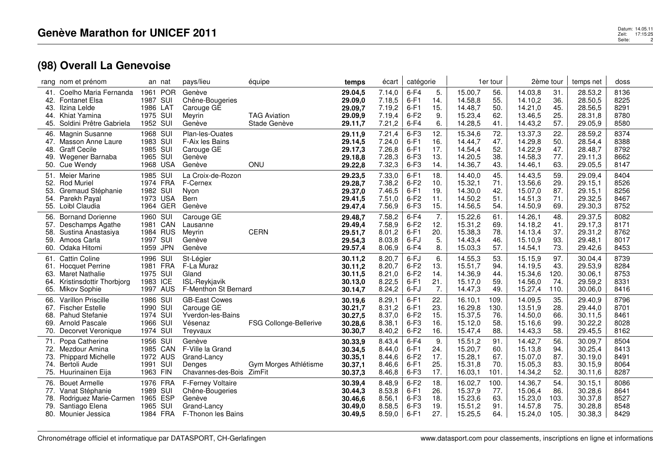| rang nom et prénom                                                                                                                                  | an nat                                                                          | pays/lieu                                                                                  | équipe                              | temps                                               | écart                                          | catégorie                                      |                                 |                                                     | 1er tour                          |                                                     | 2ème tour                         | temps net                                           | doss                                 |
|-----------------------------------------------------------------------------------------------------------------------------------------------------|---------------------------------------------------------------------------------|--------------------------------------------------------------------------------------------|-------------------------------------|-----------------------------------------------------|------------------------------------------------|------------------------------------------------|---------------------------------|-----------------------------------------------------|-----------------------------------|-----------------------------------------------------|-----------------------------------|-----------------------------------------------------|--------------------------------------|
| Coelho Maria Fernanda<br>41.<br><b>Fontanet Elsa</b><br>42.<br>Ilzina Lelde<br>43.<br>Khiat Yamina<br>44.<br>Soldini Prêtre Gabriela<br>45.         | <b>POR</b><br>1961<br>1987 SUI<br>1986 LAT<br>SUI<br>1975<br>1952 SUI           | Genève<br>Chêne-Bougeries<br>Carouge GE<br>Meyrin<br>Genève                                | <b>TAG Aviation</b><br>Stade Genève | 29.04,5<br>29.09,0<br>29.09,7<br>29.09,9<br>29.11,7 | 7.14,0<br>7.18,5<br>7.19,2<br>7.19,4<br>7.21,2 | $6-F4$<br>$6-F1$<br>$6-F1$<br>$6-F2$<br>$6-F4$ | 5.<br>14.<br>15.<br>9.<br>6.    | 15.00,7<br>14.58,8<br>14.48,7<br>15.23,4<br>14.28,5 | 56.<br>55.<br>50.<br>62.<br>41.   | 14.03,8<br>14.10.2<br>14.21,0<br>13.46,5<br>14.43,2 | 31.<br>36.<br>45.<br>25.<br>57.   | 28.53,2<br>28.50,5<br>28.56,5<br>28.31,8<br>29.05,9 | 8136<br>8225<br>8291<br>8780<br>8580 |
| <b>Magnin Susanne</b><br>46.<br>Masson Anne Laure<br>47.<br><b>Graff Cecile</b><br>48.<br>Wegener Barnaba<br>49.<br>50. Cue Wendy                   | 1968<br>SUI<br>1983<br>SUI<br>1985<br>SUI<br>1965<br>SUI<br>1968 USA            | Plan-les-Ouates<br>F-Aix les Bains<br>Carouge GE<br>Genève<br>Genève                       | <b>ONU</b>                          | 29.11,9<br>29.14,5<br>29.17,3<br>29.18,8<br>29.22,8 | 7.21,4<br>7.24,0<br>7.26,8<br>7.28,3<br>7.32,3 | $6-F3$<br>$6-F1$<br>$6-F1$<br>$6-F3$<br>$6-F3$ | 12.<br>16.<br>17.<br>13.<br>14. | 15.34,6<br>14.44,7<br>14.54,4<br>14.20,5<br>14.36,7 | 72.<br>47.<br>52.<br>38.<br>43.   | 13.37,3<br>14.29,8<br>14.22,9<br>14.58,3<br>14.46,1 | 22.<br>50.<br>47.<br>77.<br>63.   | 28.59,2<br>28.54,4<br>28.48,7<br>29.11,3<br>29.05,5 | 8374<br>8388<br>8792<br>8662<br>8147 |
| Meier Marine<br>51.<br><b>Rod Muriel</b><br>52.<br>53.<br>Gremaud Stéphanie<br>Parekh Payal<br>54.<br>Loibl Claudia<br>55.                          | 1985<br>SUI<br>1974 FRA<br>1982 SUI<br>1973 USA<br>1964 GER                     | La Croix-de-Rozon<br>F-Cernex<br>Nyon<br>Bern<br>Genève                                    |                                     | 29.23,5<br>29.28,7<br>29.37,0<br>29.41,5<br>29.47,4 | 7.33,0<br>7.38,2<br>7.46,5<br>7.51,0<br>7.56,9 | $6-F1$<br>$6-F2$<br>$6-F1$<br>$6-F2$<br>$6-F3$ | 18.<br>10.<br>19.<br>11.<br>15. | 14.40,0<br>15.32,1<br>14.30,0<br>14.50,2<br>14.56,5 | 45.<br>71.<br>42.<br>51.<br>54.   | 14.43,5<br>13.56,6<br>15.07,0<br>14.51,3<br>14.50,9 | 59.<br>29.<br>87.<br>71.<br>69.   | 29.09,4<br>29.15.1<br>29.15,1<br>29.32,5<br>29.30,3 | 8404<br>8526<br>8256<br>8467<br>8752 |
| <b>Bornand Dorienne</b><br>56.<br>Deschamps Agathe<br>57.<br>Sustina Anastasiya<br>58.<br>Amoos Carla<br>59.<br>Odaka Hitomi<br>60.                 | 1960 SUI<br>1981<br>CAN<br>1984 RUS<br>1997<br>SUI<br><b>JPN</b><br>1959        | Carouge GE<br>Lausanne<br>Meyrin<br>Genève<br>Genève                                       | <b>CERN</b>                         | 29.48,7<br>29.49,4<br>29.51,7<br>29.54,3<br>29.57,4 | 7.58,2<br>7.58,9<br>8.01,2<br>8.03,8<br>8.06,9 | $6-F4$<br>$6-F2$<br>$6-F1$<br>6-FJ<br>$6-F4$   | 7.<br>12.<br>20.<br>5.<br>8.    | 15.22,6<br>15.31,2<br>15.38,3<br>14.43,4<br>15.03,3 | 61.<br>69.<br>78.<br>46.<br>57.   | 14.26,1<br>14.18.2<br>14.13,4<br>15.10,9<br>14.54,1 | 48.<br>41.<br>37.<br>93.<br>73.   | 29.37,5<br>29.17,3<br>29.31,2<br>29.48,1<br>29.42,6 | 8082<br>8171<br>8762<br>8017<br>8453 |
| <b>Cattin Coline</b><br>61.<br><b>Hocquet Perrine</b><br>61.<br><b>Maret Nathalie</b><br>63.<br>Kristinsdottir Thorbjorg<br>64.<br>65. Mikov Sophie | SUI<br>1996<br><b>FRA</b><br>1981<br>1975 SUI<br>1983<br><b>ICE</b><br>1997 AUS | St-Légier<br>F-La Muraz<br>Gland<br>ISL-Reykjavik<br>F-Menthon St Bernard                  |                                     | 30.11,2<br>30.11,2<br>30.11,5<br>30.13,0<br>30.14,7 | 8.20,7<br>8.20,7<br>8.21,0<br>8.22,5<br>8.24,2 | $6-FJ$<br>$6-F2$<br>$6-F2$<br>$6-F1$<br>$6-FJ$ | 6.<br>13.<br>14.<br>21.<br>7.   | 14.55,3<br>15.51,7<br>14.36,9<br>15.17,0<br>14.47,3 | 53.<br>94.<br>44.<br>59.<br>49.   | 15.15,9<br>14.19,5<br>15.34,6<br>14.56,0<br>15.27,4 | 97.<br>43.<br>120.<br>74.<br>110. | 30.04,4<br>29.53,9<br>30.06,1<br>29.59,2<br>30.06,0 | 8739<br>8284<br>8753<br>8331<br>8416 |
| Varillon Priscille<br>66.<br><b>Fischer Estelle</b><br>67.<br>Pahud Stefanie<br>68.<br><b>Arnold Pascale</b><br>69.<br>70. Decorvet Veronique       | SUI<br>1986<br>1990<br><b>SUI</b><br>1974 SUI<br>SUI<br>1966<br>1974 SUI        | <b>GB-East Cowes</b><br>Carouge GE<br>Yverdon-les-Bains<br>Vésenaz<br>Treyvaux             | FSG Collonge-Bellerive              | 30.19,6<br>30.21,7<br>30.27,5<br>30.28,6<br>30.30,7 | 8.29,1<br>8.31.2<br>8.37,0<br>8.38,1<br>8.40,2 | $6-F1$<br>$6-F1$<br>$6-F2$<br>$6-F3$<br>$6-F2$ | 22.<br>23.<br>15.<br>16.<br>16. | 16.10,1<br>16.29.8<br>15.37,5<br>15.12,0<br>15.47,4 | 109.<br>130.<br>76.<br>58.<br>88. | 14.09,5<br>13.51,9<br>14.50,0<br>15.16,6<br>14.43,3 | 35.<br>28.<br>66.<br>99.<br>58.   | 29.40,9<br>29.44.0<br>30.11,5<br>30.22,2<br>29.45,5 | 8796<br>8701<br>8461<br>8028<br>8162 |
| Popa Catherine<br>71.<br>72. Mezdour Amina<br>73.<br><b>Phippard Michelle</b><br>Bertoli Aude<br>74.<br>75. Huurinainen Eija                        | 1956 SUI<br>1985 CAN<br>1972 AUS<br>SUI<br>1991<br>1963 FIN                     | Genève<br>F-Ville la Grand<br>Grand-Lancy<br>Denges<br>Chavannes-des-Bois                  | Gym Morges Athlétisme<br>ZimFit     | 30.33,9<br>30.34,5<br>30.35,1<br>30.37,1<br>30.37,3 | 8.43,4<br>8.44.0<br>8.44,6<br>8.46,6<br>8.46,8 | $6-F4$<br>$6-F1$<br>$6-F2$<br>$6-F1$<br>$6-F3$ | 9.<br>24.<br>17.<br>25.<br>17.  | 15.51,2<br>15.20,7<br>15.28,1<br>15.31,8<br>16.03,1 | 91.<br>60.<br>67.<br>70.<br>101.  | 14.42,7<br>15.13.8<br>15.07,0<br>15.05,3<br>14.34,2 | 56.<br>94.<br>87.<br>83.<br>52.   | 30.09,7<br>30.25,4<br>30.19,0<br>30.15,9<br>30.11,6 | 8504<br>8413<br>8491<br>8064<br>8287 |
| <b>Bouet Armelle</b><br>76.<br>Vanat Stéphanie<br>77.<br>Rodriguez Marie-Carmen<br>78.<br>Santiago Elena<br>79.<br>80. Mounier Jessica              | 1976<br><b>FRA</b><br>1989 SUI<br><b>ESP</b><br>1965<br>1965<br>SUI<br>1984 FRA | <b>F-Ferney Voltaire</b><br>Chêne-Bougeries<br>Genève<br>Grand-Lancy<br>F-Thonon les Bains |                                     | 30.39,4<br>30.44,3<br>30.46,6<br>30.49,0<br>30.49,5 | 8.48,9<br>8.53,8<br>8.56,1<br>8.58,5<br>8.59,0 | $6-F2$<br>$6-F1$<br>$6-F3$<br>$6-F3$<br>$6-F1$ | 18.<br>26.<br>18.<br>19.<br>27. | 16.02,7<br>15.37,9<br>15.23,6<br>15.51,2<br>15.25,5 | 100.<br>77.<br>63.<br>91.<br>64.  | 14.36,7<br>15.06,4<br>15.23,0<br>14.57,8<br>15.24,0 | 54.<br>86.<br>103.<br>75.<br>105. | 30.15,1<br>30.28,6<br>30.37,8<br>30.28,8<br>30.38,3 | 8086<br>8641<br>8527<br>8548<br>8429 |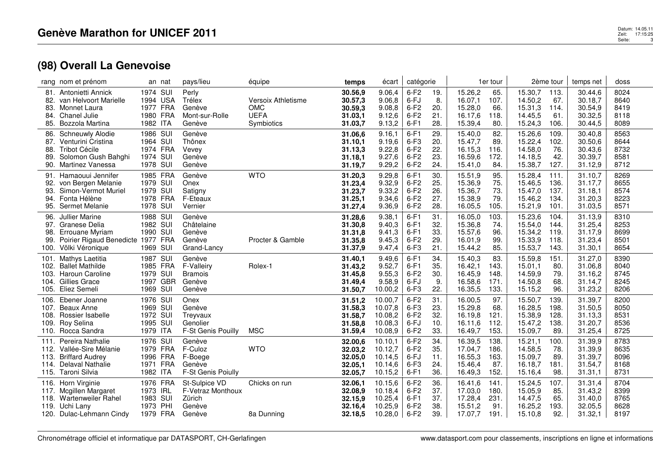|                                      | rang nom et prénom                                                                                               | an nat                                                                | pays/lieu                                                        | équipe                                                        | temps                                               | écart                                               | catégorie                                      |                                 |                                                     | 1er tour                            |                                                     | 2ème tour                            | temps net                                           | doss                                 |
|--------------------------------------|------------------------------------------------------------------------------------------------------------------|-----------------------------------------------------------------------|------------------------------------------------------------------|---------------------------------------------------------------|-----------------------------------------------------|-----------------------------------------------------|------------------------------------------------|---------------------------------|-----------------------------------------------------|-------------------------------------|-----------------------------------------------------|--------------------------------------|-----------------------------------------------------|--------------------------------------|
| 81.<br>82.<br>83.<br>84.<br>85.      | Antonietti Annick<br>van Helvoort Marielle<br>Monnet Laura<br>Chanel Julie<br>Bozzola Martina                    | 1974 SUI<br>1994 USA<br>1977 FRA<br>1980 FRA<br>1982 ITA              | Perly<br>Trélex<br>Genève<br>Mont-sur-Rolle<br>Genève            | Versoix Athletisme<br><b>OMC</b><br><b>UEFA</b><br>Symbiotics | 30.56,9<br>30.57,3<br>30.59,3<br>31.03,1<br>31.03,7 | 9.06,4<br>9.06,8<br>9.08,8<br>9.12,6<br>9.13,2      | $6-F2$<br>6-FJ<br>$6-F2$<br>$6-F2$<br>$6-F1$   | 19.<br>8.<br>20.<br>21.<br>28.  | 15.26,2<br>16.07,1<br>15.28,0<br>16.17,6<br>15.39,4 | 65.<br>107.<br>66.<br>118.<br>80.   | 15.30,7<br>14.50,2<br>15.31,3<br>14.45,5<br>15.24,3 | 113.<br>67.<br>114.<br>61.<br>106.   | 30.44,6<br>30.18,7<br>30.54,9<br>30.32,5<br>30.44,5 | 8024<br>8640<br>8419<br>8118<br>8089 |
| 86.<br>87.<br>88.<br>89.<br>90.      | <b>Schneuwly Alodie</b><br>Venturini Cristina<br><b>Tribot Cécile</b><br>Solomon Gush Bahghi<br>Martinez Vanessa | 1986 SUI<br>1964 SUI<br>1974 FRA<br>1974<br>SUI<br>1978 SUI           | Genève<br>Thônex<br>Vevey<br>Genève<br>Genève                    |                                                               | 31.06,6<br>31.10,1<br>31.13,3<br>31.18,1<br>31.19,7 | 9.16,1<br>9.19,6<br>9.22,8<br>9.27,6<br>9.29,2      | $6-F1$<br>$6-F3$<br>$6-F2$<br>$6-F2$<br>$6-F2$ | 29.<br>20.<br>22.<br>23.<br>24. | 15.40,0<br>15.47,7<br>16.15,3<br>16.59,6<br>15.41,0 | 82.<br>89.<br>116.<br>172.<br>84.   | 15.26,6<br>15.22,4<br>14.58,0<br>14.18,5<br>15.38,7 | 109.<br>102.<br>76.<br>42.<br>127.   | 30.40,8<br>30.50,6<br>30.43,6<br>30.39,7<br>31.12,9 | 8563<br>8644<br>8732<br>8581<br>8712 |
| 92.<br>93.<br>94.<br>95.             | 91. Hamaouui Jennifer<br>von Bergen Melanie<br>Simon-Vermot Muriel<br>Fonta Hélène<br><b>Sermet Melanie</b>      | <b>FRA</b><br>1985<br>1979 SUI<br>1979 SUI<br>1978 FRA<br>1978 SUI    | Genève<br>Onex<br>Satigny<br>F-Eteaux<br>Vernier                 | <b>WTO</b>                                                    | 31.20,3<br>31.23,4<br>31.23,7<br>31.25,1<br>31.27,4 | 9.29,8<br>9.32,9<br>9.33,2<br>9.34,6<br>9.36,9      | $6-F1$<br>$6-F2$<br>$6-F2$<br>$6-F2$<br>$6-F2$ | 30.<br>25.<br>26.<br>27.<br>28. | 15.51,9<br>15.36,9<br>15.36,7<br>15.38,9<br>16.05,5 | 95.<br>75.<br>73.<br>79.<br>105.    | 15.28,4<br>15.46,5<br>15.47,0<br>15.46,2<br>15.21,9 | 111.<br>136.<br>137.<br>134.<br>101. | 31.10,7<br>31.17,7<br>31.18.1<br>31.20,3<br>31.03,5 | 8269<br>8655<br>8574<br>8223<br>8571 |
| 96.<br>98.<br>99.                    | Jullier Marine<br>97. Granese Delia<br>Errouane Myriam<br>Poirier Rigaud Benedicte 1977<br>100. Völki Véronique  | 1988 SUI<br>1982 SUI<br>1990 SUI<br><b>FRA</b><br>1969 SUI            | Genève<br>Châtelaine<br>Genève<br>Genève<br>Grand-Lancy          | Procter & Gamble                                              | 31.28,6<br>31.30,8<br>31.31,8<br>31.35,8<br>31.37,9 | 9.38,1<br>9.40,3<br>9.41,3<br>9.45,3<br>9.47,4      | $6-F1$<br>$6-F1$<br>$6-F1$<br>$6-F2$<br>$6-F3$ | 31.<br>32.<br>33.<br>29.<br>21. | 16.05,0<br>15.36.8<br>15.57,6<br>16.01,9<br>15.44,2 | 103.<br>74.<br>96.<br>99.<br>85.    | 15.23,6<br>15.54,0<br>15.34,2<br>15.33,9<br>15.53,7 | 104.<br>144.<br>119.<br>118.<br>143. | 31.13,9<br>31.25,4<br>31.17,9<br>31.23,4<br>31.30,1 | 8310<br>8253<br>8699<br>8501<br>8654 |
| 101.<br>102.<br>103.<br>104.<br>105. | Mathys Laetitia<br><b>Ballet Mathilde</b><br><b>Haroun Caroline</b><br>Gillies Grace<br>Eliez Semeli             | 1987<br>SUI<br>1985 FRA<br>1979 SUI<br><b>GBR</b><br>1997<br>1969 SUI | Genève<br>F-Valleiry<br>Bramois<br>Genève<br>Genève              | Rolex-1                                                       | 31.40,1<br>31.43.2<br>31.45,8<br>31.49,4<br>31.50,7 | 9.49,6<br>9.52,7<br>9.55,3<br>9.58,9<br>10.00,2     | $6-F1$<br>$6-F1$<br>$6-F2$<br>6-FJ<br>$6-F3$   | 34.<br>35.<br>30.<br>9.<br>22.  | 15.40,3<br>16.42,1<br>16.45,9<br>16.58,6<br>16.35,5 | 83.<br>143.<br>148.<br>171.<br>133. | 15.59,8<br>15.01.1<br>14.59,9<br>14.50,8<br>15.15,2 | 151.<br>80.<br>79.<br>68.<br>96.     | 31.27,0<br>31.06,8<br>31.16,2<br>31.14,7<br>31.23,2 | 8390<br>8040<br>8745<br>8245<br>8206 |
| 106.<br>107.<br>108.<br>109.         | Ebener Joanne<br>Beaux Anne<br>Rossier Isabelle<br>Roy Selina<br>110. Rocca Sandra                               | 1976 SUI<br>SUI<br>1969<br>SUI<br>1972<br>1995 SUI<br>1979 ITA        | Onex<br>Genève<br>Treyvaux<br>Genolier<br>F-St Genis Pouilly     | <b>MSC</b>                                                    | 31.51,2<br>31.58,3<br>31.58,7<br>31.58,8<br>31.59,4 | 10.00,7<br>10.07,8<br>10.08,2<br>10.08,3<br>10.08,9 | $6-F2$<br>$6-F3$<br>$6-F2$<br>6-FJ<br>$6-F2$   | 31.<br>23.<br>32.<br>10.<br>33. | 16.00,5<br>15.29,8<br>16.19,8<br>16.11,6<br>16.49,7 | 97.<br>68.<br>121.<br>112.<br>153.  | 15.50,7<br>16.28,5<br>15.38,9<br>15.47,2<br>15.09,7 | 139.<br>198.<br>128.<br>138.<br>89.  | 31.39,7<br>31.50,5<br>31.13,3<br>31.20,7<br>31.25,4 | 8200<br>8050<br>8531<br>8536<br>8725 |
| 111.<br>112.<br>113.<br>114.<br>115. | Pereira Nathalie<br>Vallée-Sire Mélanie<br><b>Briffard Audrey</b><br>Delaval Nathalie<br>Taroni Silvia           | 1976 SUI<br>1979 FRA<br>1996 FRA<br>1971 FRA<br>1982 ITA              | Genève<br>F-Culoz<br>F-Boege<br>Genève<br>F-St Genis Poiully     | <b>WTO</b>                                                    | 32.00,6<br>32.03,2<br>32.05,0<br>32.05,1<br>32.05,7 | 10.10.1<br>10.12.7<br>10.14,5<br>10.14,6<br>10.15,2 | $6-F2$<br>$6-F2$<br>6-FJ<br>$6-F3$<br>$6-F1$   | 34.<br>35.<br>11.<br>24.<br>36. | 16.39,5<br>17.04,7<br>16.55,3<br>15.46,4<br>16.49,3 | 138.<br>186.<br>163.<br>87.<br>152. | 15.21,1<br>14.58,5<br>15.09,7<br>16.18,7<br>15.16,4 | 100.<br>78.<br>89.<br>181.<br>98.    | 31.39,9<br>31.39,9<br>31.39,7<br>31.54,7<br>31.31,1 | 8783<br>8635<br>8096<br>8168<br>8731 |
| 116.<br>117.<br>118.                 | Horn Virginie<br>Mcgillen Margaret<br><b>Wartenweiler Rahel</b><br>119. Uchi Lany<br>120. Dulac-Lehmann Cindy    | 1976 FRA<br>1973 IRL<br>1983<br>SUI<br>1973 PHI<br>1979 FRA           | St-Sulpice VD<br>F-Vetraz Monthoux<br>Zürich<br>Genève<br>Genève | Chicks on run<br>8a Dunning                                   | 32.06,1<br>32.08,9<br>32.15,9<br>32.16.4<br>32.18,5 | 10.15,6<br>10.18,4<br>10.25,4<br>10.25.9<br>10.28,0 | $6-F2$<br>$6-F2$<br>$6-F1$<br>$6-F2$<br>$6-F2$ | 36.<br>37.<br>37.<br>38.<br>39. | 16.41.6<br>17.03,0<br>17.28,4<br>15.51,2<br>17.07,7 | 141.<br>180.<br>231.<br>91.<br>191. | 15.24,5<br>15.05,9<br>14.47,5<br>16.25,2<br>15.10,8 | 107.<br>85.<br>65.<br>193.<br>92.    | 31.31,4<br>31.43,2<br>31.40,0<br>32.05,5<br>31.32,1 | 8704<br>8399<br>8765<br>8628<br>8197 |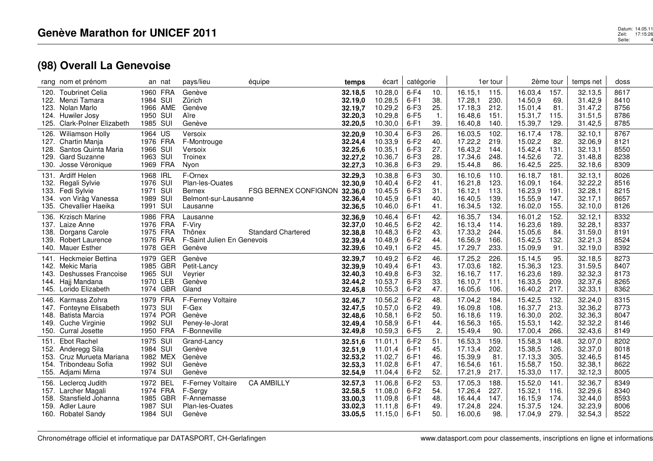|              | rang nom et prénom                            |                  | an nat               | pays/lieu                           | équipe                       | temps              | écart              | catégorie        |                  |                    | 1er tour     |                    | 2ème tour    | temps net          | doss         |
|--------------|-----------------------------------------------|------------------|----------------------|-------------------------------------|------------------------------|--------------------|--------------------|------------------|------------------|--------------------|--------------|--------------------|--------------|--------------------|--------------|
| 122.         | 120. Toubrinet Celia<br>Menzi Tamara          | 1984 SUI         | 1960 FRA             | Genève<br>Zürich                    |                              | 32.18.5<br>32.19,0 | 10.28,0<br>10.28,5 | $6-F4$<br>$6-F1$ | 10.<br>38.       | 16.15,1<br>17.28,1 | 115.<br>230. | 16.03,4<br>14.50,9 | 157.<br>69.  | 32.13,5<br>31.42,9 | 8617<br>8410 |
| 123.         | Nolan Marlo                                   |                  | 1966 AME             | Genève                              |                              | 32.19,7            | 10.29,2            | $6-F3$           | 25.              | 17.18,3            | 212.         | 15.01.4            | 81.          | 31.47,2            | 8756         |
|              | 124. Huwiler Josy                             | 1950 SUI         |                      | Aïre                                |                              | 32.20,3            | 10.29,8            | $6-F5$           | $\overline{1}$ . | 16.48,6            | 151.         | 15.31,7            | 115.         | 31.51,5            | 8786         |
| 125.         | <b>Clark-Polner Elizabeth</b>                 | 1985 SUI         |                      | Genève                              |                              | 32.20,5            | 10.30,0            | $6-F1$           | 39.              | 16.40,8            | 140.         | 15.39,7            | 129.         | 31.42,5            | 8785         |
|              | 126. Wiliamson Holly                          | 1964 US          |                      | Versoix                             |                              | 32.20.9            | 10.30.4            | $6-F3$           | 26.              | 16.03.5            | 102.         | 16.17.4            | 178.         | 32.10.1            | 8767         |
|              | 127. Chartin Manja                            |                  | 1976 FRA             | F-Montrouge                         |                              | 32.24,4            | 10.33,9            | $6-F2$           | 40.              | 17.22,2            | 219.         | 15.02,2            | 82.          | 32.06,9            | 8121         |
| 128.         | Santos Quinta Maria<br>129. Gard Suzanne      | 1966<br>1963 SUI | SUI                  | Versoix<br>Troinex                  |                              | 32.25,6<br>32.27,2 | 10.35,1<br>10.36,7 | $6-F3$<br>$6-F3$ | 27.<br>28.       | 16.43,2<br>17.34,6 | 144.<br>248. | 15.42,4<br>14.52,6 | 131.<br>72.  | 32.13,1<br>31.48,8 | 8550<br>8238 |
| 130.         | Josse Véronique                               |                  | 1969 FRA             | Nyon                                |                              | 32.27,3            | 10.36,8            | $6-F3$           | 29.              | 15.44,8            | 86.          | 16.42,5            | 225.         | 32.18,6            | 8309         |
| 131.         | Ardiff Helen                                  | 1968 IRL         |                      | F-Ornex                             |                              | 32.29,3            | 10.38,8            | $6-F3$           | 30.              | 16.10,6            | 110.         | 16.18,7            | 181.         | 32.13,1            | 8026         |
|              | 132. Regali Sylvie                            | 1976 SUI         |                      | Plan-les-Ouates                     |                              | 32.30,9            | 10.40,4            | $6-F2$           | 41.              | 16.21,8            | 123.         | 16.09,1            | 164.         | 32.22,2            | 8516         |
| 133.         | Fedi Sylvie                                   | 1971             | SUI                  | <b>Bernex</b>                       | FSG BERNEX CONFIGNON 32.36,0 |                    | 10.45,5            | $6-F3$           | 31.              | 16.12,1            | 113.         | 16.23,9            | 191.         | 32.28,1            | 8215         |
|              | 134. von Viràg Vanessa                        | 1989 SUI         |                      | Belmont-sur-Lausanne                |                              | 32.36,4            | 10.45,9            | $6-F1$           | 40.              | 16.40,5            | 139.         | 15.55,9            | 147.         | 32.17,1            | 8657         |
|              | 135. Chevallier Haeika                        | 1991 SUI         |                      | Lausanne                            |                              | 32.36,5            | 10.46,0            | $6-F1$           | 41.              | 16.34,5            | 132.         | 16.02,0            | 155.         | 32.10,0            | 8126         |
|              | 136. Krzisch Marine                           |                  | 1986 FRA             | Lausanne                            |                              | 32.36,9            | 10.46,4            | $6-F1$           | 42.              | 16.35,7            | 134.         | 16.01,2            | 152.         | 32.12,1            | 8332         |
| 137.         | Laize Anne                                    |                  | 1976 FRA             | F-Viry                              |                              | 32.37,0            | 10.46,5            | $6-F2$           | 42.              | 16.13,4            | 114.         | 16.23,6            | 189.         | 32.28,1            | 8337         |
| 138.         | Dorgans Carole                                | 1975 FRA         |                      | Thônex                              | <b>Standard Chartered</b>    | 32.38,8            | 10.48,3            | $6-F2$           | 43.              | 17.33,2            | 244.         | 15.05,6            | 84.          | 31.59,0            | 8191         |
|              | 139. Robert Laurence                          |                  | 1976 FRA<br>1978 GER | F-Saint Julien En Genevois          |                              | 32.39,4            | 10.48,9            | $6-F2$<br>$6-F2$ | 44.<br>45.       | 16.56,9            | 166.         | 15.42,5            | 132.<br>91.  | 32.21,3            | 8524<br>8392 |
| 140.         | <b>Mauer Esther</b>                           |                  |                      | Genève                              |                              | 32.39,6            | 10.49,1            |                  |                  | 17.29,7            | 233.         | 15.09,9            |              | 32.19,0            |              |
| 141.         | Heckmeier Bettina                             |                  | 1979 GER             | Genève                              |                              | 32.39,7            | 10.49,2            | $6-F2$           | 46.              | 17.25,2            | 226.         | 15.14,5            | 95.          | 32.18,5            | 8273         |
| 142.<br>143. | Mekic Maria<br>Deshusses Francoise            | 1965 SUI         | 1985 GBR             | Petit-Lancy<br>Veyrier              |                              | 32.39,9<br>32.40,3 | 10.49,4<br>10.49,8 | $6-F1$<br>$6-F3$ | 43.<br>32.       | 17.03,6<br>16.16,7 | 182.<br>117. | 15.36,3<br>16.23,6 | 123.<br>189. | 31.59,5<br>32.32,3 | 8407<br>8173 |
|              | 144. Hajj Mandana                             | 1970 LEB         |                      | Genève                              |                              | 32.44,2            | 10.53,7            | $6-F3$           | 33.              | 16.10.7            | 111.         | 16.33,5            | 209.         | 32.37,6            | 8265         |
|              | 145. Lorido Elizabeth                         |                  | 1974 GBR             | Gland                               |                              | 32.45,8            | 10.55,3            | $6-F2$           | 47.              | 16.05,6            | 106.         | 16.40,2            | 217.         | 32.33,1            | 8362         |
| 146.         | Karmass Zohra                                 |                  | 1979 FRA             | F-Ferney Voltaire                   |                              | 32.46,7            | 10.56,2            | $6-F2$           | 48.              | 17.04,2            | 184.         | 15.42,5            | 132.         | 32.24,0            | 8315         |
| 147.         | Fonteyne Elisabeth                            | 1973 SUI         |                      | F-Gex                               |                              | 32.47,5            | 10.57,0            | $6-F2$           | 49.              | 16.09,8            | 108          | 16.37,7            | 213.         | 32.36,2            | 8773         |
| 148.         | <b>Batista Marcia</b>                         |                  | 1974 POR             | Genève                              |                              | 32.48,6            | 10.58,1            | $6-F2$           | 50.              | 16.18,6            | 119.         | 16.30,0            | 202.         | 32.36,3            | 8047         |
| 149.         | Cuche Virginie                                | 1992 SUI         |                      | Peney-le-Jorat                      |                              | 32.49,4            | 10.58,9            | $6-F1$           | 44.              | 16.56,3            | 165.         | 15.53,1            | 142.         | 32.32,2            | 8146         |
|              | 150. Curral Josette                           |                  | 1950 FRA             | F-Bonneville                        |                              | 32.49,8            | 10.59,3            | $6-F5$           | 2.               | 15.49,4            | 90.          | 17.00,4            | 266.         | 32.43,6            | 8149         |
| 151.         | Ebot Rachel                                   | 1975 SUI         |                      | Grand-Lancy                         |                              | 32.51,6            | 11.01,1            | $6-F2$           | 51.              | 16.53,3            | 159.         | 15.58,3            | 148.         | 32.07,0            | 8202         |
|              | 152. Anderegg Sila                            | 1984 SUI         |                      | Genève<br>Genève                    |                              | 32.51,9            | 11.01,4            | $6-F1$           | 45.              | 17.13,4            | 202.<br>81.  | 15.38,5            | 126.         | 32.37,0            | 8018         |
| 153.         | Cruz Murueta Mariana<br>154. Tribondeau Sofia | 1992 SUI         | 1982 MEX             | Genève                              |                              | 32.53,2<br>32.53,3 | 11.02,7<br>11.02,8 | $6-F1$<br>$6-F1$ | 46.<br>47.       | 15.39,9<br>16.54,6 | 161.         | 17.13,3<br>15.58,7 | 305.<br>150. | 32.46,5<br>32.38,1 | 8145<br>8622 |
|              | 155. Adjami Mirna                             | 1974 SUI         |                      | Genève                              |                              | 32.54,9            | 11.04,4            | $6-F2$           | 52.              | 17.21,9            | 217.         | 15.33,0            | 117.         | 32.12,3            | 8005         |
|              |                                               | 1972 BEL         |                      |                                     | <b>CA AMBILLY</b>            |                    | 11.06,8            | $6-F2$           | 53.              | 17.05,3            | 188.         | 15.52,0            | 141.         | 32.36,7            | 8349         |
| 156.<br>157. | Leclercq Judith<br>Larcher Magali             |                  | 1974 FRA             | <b>F-Ferney Voltaire</b><br>F-Sergy |                              | 32.57,3<br>32.58,5 | 11.08,0            | $6-F2$           | 54.              | 17.26.4            | 227.         | 15.32,1            | 116.         | 32.29,6            | 8340         |
| 158.         | Stansfield Johanna                            | 1985             | <b>GBR</b>           | F-Annemasse                         |                              | 33.00,3            | 11.09,8            | $6-F1$           | 48.              | 16.44,4            | 147.         | 16.15,9            | 174.         | 32.44,0            | 8593         |
| 159.         | Adler Laure                                   | 1987             | <b>SUI</b>           | Plan-les-Ouates                     |                              | 33.02,3            | 11.11,8            | $6-F1$           | 49.              | 17.24,8            | 224.         | 15.37,5            | 124.         | 32.23,9            | 8006         |
|              | 160. Robatel Sandy                            | 1984 SUI         |                      | Genève                              |                              | 33.05,5            | 11.15,0            | $6-F1$           | 50.              | 16.00,6            | 98.          | 17.04,9            | 279.         | 32.54,3            | 8522         |
|              |                                               |                  |                      |                                     |                              |                    |                    |                  |                  |                    |              |                    |              |                    |              |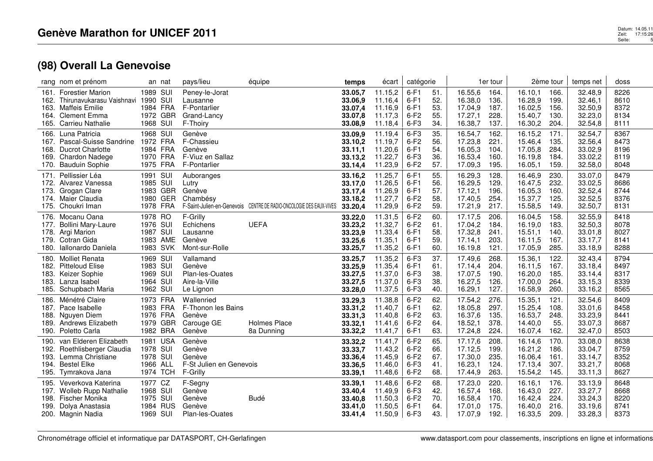|        | rang nom et prénom                                 |                  | an nat               | pays/lieu                        | équipe                                                              | temps              | écart              | catégorie        |            |                    | 1er tour     |                    | 2ème tour    | temps net          | doss         |
|--------|----------------------------------------------------|------------------|----------------------|----------------------------------|---------------------------------------------------------------------|--------------------|--------------------|------------------|------------|--------------------|--------------|--------------------|--------------|--------------------|--------------|
| 162.   | 161. Forestier Marion<br>Thirunavukarasu Vaishnavi | 1989 SUI<br>1990 | SUI                  | Peney-le-Jorat<br>Lausanne       |                                                                     | 33.05,7<br>33.06,9 | 11.15,2<br>11.16,4 | $6-F1$<br>$6-F1$ | 51.<br>52. | 16.55,6<br>16.38,0 | 164.<br>136. | 16.10,1<br>16.28,9 | 166.<br>199. | 32.48,9<br>32.46,1 | 8226<br>8610 |
| 163.   | Maffeis Emilie<br>164. Clement Emma                |                  | 1984 FRA<br>1972 GBR | F-Pontarlier<br>Grand-Lancy      |                                                                     | 33.07,4            | 11.16,9<br>11.17,3 | $6-F1$<br>$6-F2$ | 53.<br>55. | 17.04,9<br>17.27,1 | 187.<br>228  | 16.02,5<br>15.40,7 | 156.<br>130. | 32.50,9<br>32.23,0 | 8372<br>8134 |
| 165.   | <b>Carrieu Nathalie</b>                            | 1968 SUI         |                      | F-Thoiry                         |                                                                     | 33.07,8<br>33.08,9 | 11.18,4            | $6-F3$           | 34.        | 16.38,7            | 137.         | 16.30,2            | 204.         | 32.54,8            | 8111         |
| 166.   | Luna Patricia                                      | 1968 SUI         |                      | Genève                           |                                                                     | 33.09.9            | 11.19.4            | $6-F3$           | 35.        | 16.54,7            | 162.         | 16.15,2            | 171.         | 32.54,7            | 8367         |
| 167.   | Pascal-Suisse Sandrine                             | 1972 FRA         |                      | F-Chassieu                       |                                                                     | 33.10,2            | 11.19,7            | $6-F2$           | 56.        | 17.23,8            | 221.         | 15.46,4            | 135.         | 32.56,4            | 8473         |
| 168.   | <b>Ducrot Charlotte</b>                            |                  | 1984 FRA             | Genève                           |                                                                     | 33.11,1            | 11.20,6            | $6-F1$           | 54.        | 16.05,3            | 104.         | 17.05,8            | 284.         | 33.02,9            | 8196         |
| 169.   | Chardon Nadege<br>170. Bauduin Sophie              |                  | 1970 FRA<br>1975 FRA | F-Viuz en Sallaz<br>F-Pontarlier |                                                                     | 33.13,2            | 11.22,7<br>11.23,9 | $6-F3$<br>$6-F2$ | 36.<br>57. | 16.53,4<br>17.09,3 | 160.<br>195. | 16.19,8<br>16.05,1 | 184.<br>159. | 33.02,2<br>32.58,0 | 8119<br>8048 |
| 171.   | Pellissier Léa                                     | 1991 SUI         |                      |                                  |                                                                     | 33.14,4            | 11.25,7            | $6-F1$           | 55.        | 16.29,3            | 128.         | 16.46,9            | 230.         | 33.07,0            | 8479         |
| 172.   | Alvarez Vanessa                                    | 1985 SUI         |                      | Auboranges<br>Lutry              |                                                                     | 33.16,2<br>33.17,0 | 11.26,5            | $6-F1$           | 56.        | 16.29,5            | 129.         | 16.47,5            | 232.         | 33.02,5            | 8686         |
| 173.   | Grogan Clare                                       |                  | 1983 GBR             | Genève                           |                                                                     | 33.17,4            | 11.26,9            | $6-F1$           | 57.        | 17.12,1            | 196.         | 16.05.3            | 160.         | 32.52,4            | 8744         |
|        | 174. Maier Claudia                                 |                  | 1980 GER             | Chambésy                         |                                                                     | 33.18,2            | 11.27,7            | $6-F2$           | 58.        | 17.40,5            | 254.         | 15.37,7            | 125.         | 32.52,5            | 8376         |
| 175.   | Choukri Iman                                       | 1978 FRA         |                      |                                  | F-Saint-Julien-en-Genevois CENTRE DE RADIO-ONCOLOGIE DES EAUX-VIVES | 33.20,4            | 11.29,9            | $6-F2$           | 59.        | 17.21,9            | 217.         | 15.58,5            | 149.         | 32.50,7            | 8131         |
|        | 176. Mocanu Oana                                   | 1978 RO          |                      | F-Grilly                         |                                                                     | 33.22,0            | 11.31,5            | $6-F2$           | 60         | 17.17,5            | 206.         | 16.04,5            | 158.         | 32.55,9            | 8418         |
| 177.   | <b>Bollini Mary-Laure</b>                          | 1976             | SUI                  | Echichens                        | <b>UEFA</b>                                                         | 33.23,2            | 11.32,7            | $6-F2$           | 61.        | 17.04,2            | 184.         | 16.19,0            | 183.         | 32.50,3            | 8078         |
| 178.   | Argi Marion                                        | 1987 SUI         |                      | Lausanne                         |                                                                     | 33.23,9            | 11.33,4            | $6-F1$           | 58.        | 17.32,8            | 241.         | 15.51,1            | 140.         | 33.01,8            | 8027         |
| 180.   | 179. Cotran Gida<br>Iallonardo Daniela             |                  | 1983 AME<br>1983 SVK | Genève<br>Mont-sur-Rolle         |                                                                     | 33.25,6<br>33.25,7 | 11.35,1<br>11.35,2 | $6-F1$<br>$6-F1$ | 59.<br>60. | 17.14,1<br>16.19.8 | 203.<br>121. | 16.11,5<br>17.05,9 | 167.<br>285. | 33.17,7<br>33.18,9 | 8141<br>8288 |
|        | 180. Molliet Renata                                | 1969 SUI         |                      | Vallamand                        |                                                                     | 33.25,7            | 11.35,2            | $6-F3$           | 37.        | 17.49,6            | 268.         | 15.36,1            | 122.         | 32.43,4            | 8794         |
| 182.   | <b>Pitteloud Elise</b>                             | 1983 SUI         |                      | Genève                           |                                                                     | 33.25,9            | 11.35,4            | $6-F1$           | 61.        | 17.14,4            | 204.         | 16.11,5            | 167.         | 33.18,4            | 8497         |
| 183.   | Keizer Sophie                                      | 1969 SUI         |                      | Plan-les-Ouates                  |                                                                     | 33.27,5            | 11.37,0            | $6-F3$           | 38.        | 17.07,5            | 190.         | 16.20,0            | 185.         | 33.14,4            | 8317         |
|        | 183. Lanza Isabel                                  | 1964 SUI         |                      | Aire-la-Ville                    |                                                                     | 33.27,5            | 11.37,0            | $6-F3$           | 38.        | 16.27,5            | 126.         | 17.00,0            | 264.         | 33.15,3            | 8339         |
| 185.   | Schupbach Maria                                    | 1962 SUI         |                      | Le Lignon                        |                                                                     | 33.28,0            | 11.37,5            | $6-F3$           | 40.        | 16.29,1            | 127.         | 16.58,9            | 260.         | 33.16,2            | 8565         |
|        | 186. Ménétré Claire                                | 1973 FRA         |                      | Wallenried                       |                                                                     | 33.29,3            | 11.38,8            | $6-F2$           | 62.        | 17.54,2            | 276.         | 15.35,1            | 121.         | 32.54,6            | 8409         |
|        | 187. Pace Isabelle                                 |                  | 1983 FRA             | F-Thonon les Bains               |                                                                     | 33.31,2            | 11.40,7            | $6-F1$           | 62.        | 18.05,8            | 297.         | 15.25,4            | 108.         | 33.01,6            | 8458         |
| 188.   | Nguyen Diem<br>189. Andrews Elizabeth              |                  | 1976 FRA<br>1979 GBR | Genève<br>Carouge GE             | Holmes Place                                                        | 33.31,3<br>33.32,1 | 11.40,8<br>11.41,6 | $6-F2$<br>$6-F2$ | 63.<br>64. | 16.37,6<br>18.52,1 | 135.<br>378. | 16.53,7<br>14.40,0 | 248.<br>55.  | 33.23,9<br>33.07,3 | 8441<br>8687 |
| 190.   | Poletto Carla                                      |                  | 1982 BRA             | Genève                           | 8a Dunning                                                          | 33.32,2            | 11.41,7            | $6-F1$           | 63.        | 17.24,8            | 224.         | 16.07,4            | 162.         | 32.47,0            | 8503         |
| 190. . | van Elderen Elizabeth                              |                  | 1981 USA             | Genève                           |                                                                     | 33.32,2            | 11.41,7            | $6-F2$           | 65.        | 17.17,6            | 208.         | 16.14,6            | 170.         | 33.08,0            | 8638         |
| 192.   | Roethlisberger Claudia                             | 1978 SUI         |                      | Genève                           |                                                                     | 33.33,7            | 11.43,2            | $6-F2$           | 66.        | 17.12,5            | 199.         | 16.21,2            | 186.         | 33.04,7            | 8759         |
| 193.   | Lemma Christiane                                   | 1978 SUI         |                      | Genève                           |                                                                     | 33.36,4            | 11.45,9            | $6-F2$           | 67.        | 17.30,0            | 235.         | 16.06,4            | 161.         | 33.14,7            | 8352         |
| 194.   | <b>Bestel Elke</b>                                 | 1966 ALL         |                      | F-St Julien en Genevois          |                                                                     | 33.36,5            | 11.46,0            | 6-F3             | 41.        | 16.23,1            | 124.         | 17.13,4            | 307.         | 33.21,7            | 8068         |
| 195.   | Tymrakova Jana                                     |                  | 1974 TCH             | F-Grilly                         |                                                                     | 33.39,1            | 11.48,6            | $6-F2$           | 68.        | 17.44,9            | 263.         | 15.54,2            | 145.         | 33.11,3            | 8627         |
| 195.   | Veverkova Katerina                                 | 1977 CZ          |                      | F-Segny                          |                                                                     | 33.39,1            | 11.48,6            | $6-F2$           | 68.        | 17.23,0            | 220.         | 16.16,1            | 176.         | 33.13,9            | 8648         |
| 197.   | Wolleb Rupp Nathalie                               | 1968 SUI         |                      | Genève                           |                                                                     | 33.40,4            | 11.49,9            | $6-F3$           | 42.        | 16.57,4            | 168.         | 16.43,0            | 227.         | 33.27,7            | 8668         |
| 198.   | Fischer Monika                                     | 1975 SUI         | 1984 RUS             | Genève<br>Genève                 | <b>Budé</b>                                                         | 33.40,8            | 11.50,3            | $6-F2$           | 70.<br>64. | 16.58,4            | 170.         | 16.42,4            | 224.         | 33.24,3            | 8220<br>8741 |
| 199.   | Dolya Anastasia<br>200. Magnin Nadia               | 1969 SUI         |                      | Plan-les-Ouates                  |                                                                     | 33.41,0<br>33.41,4 | 11.50,5<br>11.50,9 | $6-F1$<br>$6-F3$ | 43.        | 17.01.0<br>17.07,9 | 175.<br>192. | 16.40,0<br>16.33,5 | 216.<br>209. | 33.19,6<br>33.28,3 | 8373         |
|        |                                                    |                  |                      |                                  |                                                                     |                    |                    |                  |            |                    |              |                    |              |                    |              |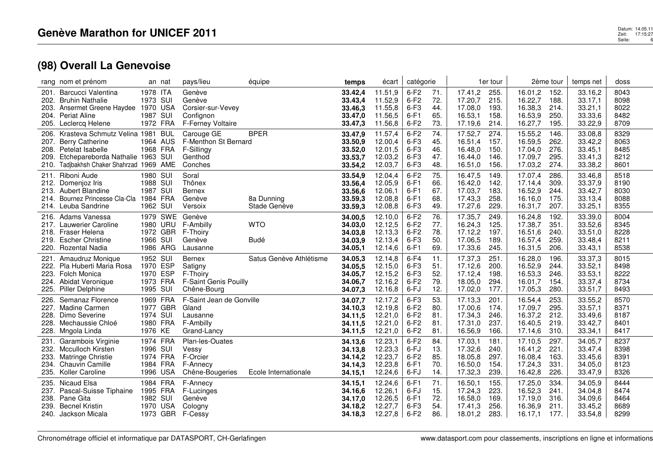|              | rang nom et prénom                                  |                      | an nat     | pays/lieu                   | équipe                  | temps              | écart              | catégorie        |            |                    | 1er tour     |                    | 2ème tour    | temps net          | doss         |
|--------------|-----------------------------------------------------|----------------------|------------|-----------------------------|-------------------------|--------------------|--------------------|------------------|------------|--------------------|--------------|--------------------|--------------|--------------------|--------------|
| 201.         | Barcucci Valentina                                  | 1978 ITA             |            | Genève                      |                         | 33.42,4            | 11.51,9            | $6-F2$           | 71.        | 17.41,2            | 255.         | 16.01,2            | 152.         | 33.16,2            | 8043         |
| 202.<br>203. | <b>Bruhin Nathalie</b><br>Ansermet Greene Haydee    | 1973 SUI             | 1970 USA   | Genève<br>Corsier-sur-Vevey |                         | 33.43,4<br>33.46,3 | 11.52,9<br>11.55,8 | $6-F2$<br>$6-F3$ | 72.<br>44. | 17.20,7<br>17.08,0 | 215.<br>193. | 16.22,7<br>16.38,3 | 188.<br>214. | 33.17,1<br>33.21,1 | 8098<br>8022 |
|              | 204. Periat Aline                                   | 1987 SUI             |            | Confignon                   |                         | 33.47,0            | 11.56,5            | $6-F1$           | 65.        | 16.53,1            | 158.         | 16.53,9            | 250.         | 33.33,6            | 8482         |
|              | 205. Leclercq Helene                                |                      | 1972 FRA   | F-Ferney Voltaire           |                         | 33.47,3            | 11.56,8            | $6-F2$           | 73.        | 17.19,6            | 214.         | 16.27,7            | 195.         | 33.22,9            | 8709         |
| 206.         | Krasteva Schmutz Velina 1981                        |                      | <b>BUL</b> | Carouge GE                  | <b>BPER</b>             | 33.47,9            | 11.57,4            | $6-F2$           | 74.        | 17.52,7            | 274.         | 15.55,2            | 146.         | 33.08,8            | 8329         |
| 207.         | <b>Berry Catherine</b>                              |                      | 1964 AUS   | F-Menthon St Bernard        |                         | 33.50,9            | 12.00,4            | $6-F3$           | 45.        | 16.51,4            | 157.         | 16.59,5            | 262.         | 33.42,2            | 8063         |
|              | 208. Petelat Isabelle                               |                      | 1968 FRA   | F-Sillingy                  |                         | 33.52,0            | 12.01,5            | $6-F3$           | 46.        | 16.48,0            | 150.         | 17.04,0            | 276.         | 33.45,1            | 8485         |
| 209.         | Etchepareborda Nathalie 1963 SUI                    |                      |            | Genthod                     |                         | 33.53,7            | 12.03,2            | $6-F3$           | 47.        | 16.44,0            | 146.         | 17.09,7            | 295.         | 33.41,3            | 8212         |
| 210.         | Tadjbakhsh Chaker Shahrzad 1969 AME                 |                      |            | Conches                     |                         | 33.54,2            | 12.03,7            | $6-F3$           | 48.        | 16.51,0            | 156.         | 17.03,2            | 274.         | 33.38,2            | 8601         |
| 211.         | Riboni Aude                                         | 1980 SUI             |            | Soral                       |                         | 33.54,9            | 12.04,4            | $6-F2$           | 75.        | 16.47,5            | 149.         | 17.07,4            | 286.         | 33.46,8            | 8518         |
| 212.         | Domenjoz Iris                                       | 1988 SUI             |            | Thônex                      |                         | 33.56,4            | 12.05,9            | $6-F1$           | 66.        | 16.42,0            | 142.         | 17.14,4            | 309.         | 33.37,9            | 8190         |
| 213.<br>214. | <b>Aubert Blandine</b><br>Bournez Princesse Cla-Cla | 1987 SUI<br>1984 FRA |            | <b>Bernex</b><br>Genève     | 8a Dunning              | 33.56,6<br>33.59,3 | 12.06.1<br>12.08,8 | $6-F1$<br>$6-F1$ | 67.<br>68. | 17.03,7<br>17.43,3 | 183.<br>258. | 16.52,9<br>16.16,0 | 244.<br>175. | 33.42,7<br>33.13,4 | 8030<br>8088 |
|              | 214. Leuba Sandrine                                 | 1962 SUI             |            | Versoix                     | Stade Genève            | 33.59,3            | 12.08,8            | $6-F3$           | 49.        | 17.27,6            | 229.         | 16.31,7            | 207.         | 33.25,1            | 8355         |
|              | 216. Adams Vanessa                                  |                      | 1979 SWE   | Genève                      |                         | 34.00,5            | 12.10,0            | $6-F2$           | 76.        | 17.35.7            | 249.         | 16.24.8            | 192.         | 33.39,0            | 8004         |
| 217.         | Lauwerier Caroline                                  |                      | 1980 URU   | F-Ambilly                   | <b>WTO</b>              | 34.03,0            | 12.12,5            | $6-F2$           | 77.        | 16.24,3            | 125.         | 17.38,7            | 351.         | 33.52,6            | 8345         |
| 218.         | Fraser Helena                                       |                      | 1972 GBR   | F-Thoiry                    |                         | 34.03,8            | 12.13,3            | $6-F2$           | 78.        | 17.12,2            | 197.         | 16.51,6            | 240.         | 33.51,0            | 8228         |
|              | 219. Escher Christine                               | 1966 SUI             |            | Genève                      | Budé                    | 34.03.9            | 12.13,4            | $6-F3$           | 50.        | 17.06,5            | 189.         | 16.57,4            | 259.         | 33.48,4            | 8211         |
| 220.         | <b>Rozental Nadia</b>                               |                      | 1986 ARG   | Lausanne                    |                         | 34.05,1            | 12.14,6            | $6-F1$           | 69.        | 17.33,6            | 245.         | 16.31,5            | 206.         | 33.43,1            | 8538         |
| 221.         | Amaudruz Monique                                    | 1952 SUI             |            | <b>Bernex</b>               | Satus Genève Athlétisme | 34.05.3            | 12.14,8            | $6-F4$           | 11.        | 17.37,3            | 251.         | 16.28,0            | 196.         | 33.37,3            | 8015         |
|              | 222. Pla Huberti Maria Rosa                         | 1970 ESP             |            | Satigny                     |                         | 34.05,5            | 12.15,0            | $6-F3$           | 51.        | 17.12,6            | 200.         | 16.52,9            | 244.         | 33.52,1            | 8498         |
| 223.         | Folch Monica                                        | 1970                 | ESP        | F-Thoiry                    |                         | 34.05,7            | 12.15,2            | $6-F3$           | 52.        | 17.12,4            | 198.         | 16.53,3            | 246.         | 33.53,1            | 8222         |
|              | 224. Abidat Veronique                               |                      | 1973 FRA   | F-Saint Genis Pouilly       |                         | 34.06,7            | 12.16,2            | $6-F2$           | 79.        | 18.05,0            | 294.         | 16.01.7            | 154.         | 33.37,4            | 8734         |
| 225.         | Piller Delphine                                     | 1995 SUI             |            | Chêne-Bourg                 |                         | 34.07,3            | 12.16,8            | 6-FJ             | 12.        | 17.02,0            | 177.         | 17.05,3            | 280.         | 33.51,7            | 8493         |
| 226.         | Semanaz Florence                                    |                      | 1969 FRA   | F-Saint Jean de Gonville    |                         | 34.07,7            | 12.17,2            | $6-F3$           | 53.        | 17.13,3            | 201.         | 16.54,4            | 253.         | 33.55,2            | 8570         |
| 227.         | <b>Madine Carmen</b><br>Dimo Severine               | 1974 SUI             | 1977 GBR   | Gland                       |                         | 34.10,3            | 12.19,8            | $6-F2$           | 80.        | 17.00,6            | 174.         | 17.09,7            | 295.         | 33.57,1            | 8371<br>8187 |
| 228.<br>228. | Mechaussie Chloé                                    |                      | 1980 FRA   | Lausanne<br>F-Ambilly       |                         | 34.11,5<br>34.11,5 | 12.21,0<br>12.21,0 | $6-F2$<br>$6-F2$ | 81.<br>81. | 17.34,3<br>17.31,0 | 246.<br>237. | 16.37,2<br>16.40,5 | 212.<br>219. | 33.49,6<br>33.42,7 | 8401         |
| 228.         | Mngola Linda                                        | 1976 KE              |            | Grand-Lancy                 |                         | 34.11,5            | 12.21,0            | $6-F2$           | 81.        | 16.56,9            | 166.         | 17.14,6            | 310.         | 33.34,1            | 8417         |
| 231.         | Garambois Virginie                                  |                      | 1974 FRA   | Plan-les-Ouates             |                         | 34.13,6            | 12.23,1            | $6-F2$           | 84.        | 17.03,1            | 181.         | 17.10,5            | 297.         | 34.05,7            | 8237         |
| 232.         | <b>Mcculloch Kirsten</b>                            | 1996 SUI             |            | Vessy                       |                         | 34.13,8            | 12.23,3            | 6-FJ             | 13.        | 17.32,6            | 240.         | 16.41,2            | 221.         | 33.47,4            | 8398         |
| 233.         | Matringe Christie                                   |                      | 1974 FRA   | F-Orcier                    |                         | 34.14,2            | 12.23,7            | $6-F2$           | 85.        | 18.05,8            | 297.         | 16.08,4            | 163.         | 33.45,6            | 8391         |
| 234.         | <b>Chauvin Camille</b>                              |                      | 1984 FRA   | F-Annecy                    |                         | 34.14,3            | 12.23,8            | $6-F1$           | 70.        | 16.50,0            | 154.         | 17.24,3            | 331.         | 34.05,0            | 8123         |
| 235.         | Koller Caroline                                     |                      | 1996 USA   | Chêne-Bougeries             | Ecole Internationale    | 34.15,1            | 12.24,6            | 6-FJ             | 14.        | 17.32,3            | 239.         | 16.42,8            | 226.         | 33.47,9            | 8326         |
| 235.         | Nicaud Elsa                                         |                      | 1984 FRA   | F-Annecy                    |                         | 34.15,1            | 12.24,6            | $6-F1$           | 71.        | 16.50,1            | 155.         | 17.25,0            | 334.         | 34.05,9            | 8444         |
| 237.         | Pascal-Suisse Tiphaine                              |                      | 1995 FRA   | F-Lucinges                  |                         | 34.16,6            | 12.26,1            | 6-FJ             | 15.        | 17.24,3            | 223.         | 16.52,3            | 241.         | 34.04,8            | 8474         |
| 238.         | Pane Gita                                           | 1982 SUI             |            | Genève                      |                         | 34.17,0            | 12.26,5            | $6-F1$           | 72.        | 16.58,0            | 169.         | 17.19,0            | 316.         | 34.09,6            | 8464         |
| 239.         | <b>Becnel Kristin</b>                               |                      | 1970 USA   | Cologny                     |                         | 34.18,2            | 12.27,7            | $6-F3$           | 54.        | 17.41,3            | 256.         | 16.36,9            | 211.         | 33.45,2            | 8689         |
|              | 240. Jackson Micala                                 |                      |            | 1973 GBR F-Cessy            |                         | 34.18,3            | 12.27,8            | $6-F2$           | 86.        | 18.01,2            | 283.         | 16.17,1            | 177.         | 33.54,8            | 8299         |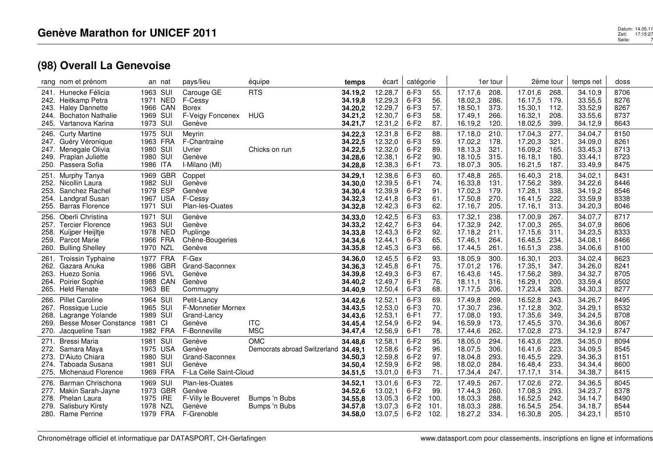| rang nom et prénom                                                                                                                                       | an nat                                                             | pays/lieu                                                                         | équipe                                     | temps                                               | écart                                               | catégorie                                      |                                    |                                                     | 1er tour                             |                                                     | 2ème tour                            | temps net                                           | doss                                 |
|----------------------------------------------------------------------------------------------------------------------------------------------------------|--------------------------------------------------------------------|-----------------------------------------------------------------------------------|--------------------------------------------|-----------------------------------------------------|-----------------------------------------------------|------------------------------------------------|------------------------------------|-----------------------------------------------------|--------------------------------------|-----------------------------------------------------|--------------------------------------|-----------------------------------------------------|--------------------------------------|
| 241. Hunecke Félicia<br>Heitkamp Petra<br>242.<br>243.<br><b>Haley Dannette</b><br><b>Bochaton Nathalie</b><br>244.<br>Vartanova Karina<br>245.          | 1963 SUI<br>1971<br>NED<br>1966 CAN<br>1969 SUI<br>1973 SUI        | Carouge GE<br>F-Cessy<br><b>Borex</b><br>F-Veigy Foncenex<br>Genève               | <b>RTS</b><br><b>HUG</b>                   | 34.19,2<br>34.19,8<br>34.20,2<br>34.21,2<br>34.21,7 | 12.28,7<br>12.29,3<br>12.29,7<br>12.30,7<br>12.31,2 | $6-F3$<br>$6-F3$<br>$6-F3$<br>$6-F3$<br>$6-F2$ | 55.<br>56.<br>57.<br>58.<br>87.    | 17.17,6<br>18.02,3<br>18.50,1<br>17.49,1<br>16.19,2 | 208.<br>286.<br>373.<br>266.<br>120. | 17.01,6<br>16.17,5<br>15.30,1<br>16.32,1<br>18.02,5 | 268.<br>179.<br>112.<br>208.<br>399. | 34.10,9<br>33.55,5<br>33.52,9<br>33.55,6<br>34.12,9 | 8706<br>8276<br>8267<br>8737<br>8643 |
| <b>Curty Martine</b><br>246.<br>247.<br>Guéry Véronique<br>Menegale Olivia<br>247.<br>Praplan Juliette<br>249.<br>Passera Sofia<br>250.                  | 1975 SUI<br>1963 FRA<br>1980 SUI<br>1980 SUI<br>1986 ITA           | Meyrin<br>F-Chantraine<br>Uvrier<br>Genève<br>I-Milano (MI)                       | Chicks on run                              | 34.22,3<br>34.22,5<br>34.22,5<br>34.28,6<br>34.28,8 | 12.31,8<br>12.32,0<br>12.32,0<br>12.38,1<br>12.38,3 | $6-F2$<br>$6-F3$<br>$6-F2$<br>$6-F2$<br>$6-F1$ | 88.<br>59.<br>89.<br>90.<br>73.    | 17.18,0<br>17.02,2<br>18.13,3<br>18.10,5<br>18.07,3 | 210.<br>178.<br>321.<br>315.<br>305. | 17.04,3<br>17.20,3<br>16.09,2<br>16.18.1<br>16.21,5 | 277.<br>321.<br>165.<br>180.<br>187. | 34.04,7<br>34.09,0<br>33.45,3<br>33.44,1<br>33.49,9 | 8150<br>8261<br>8713<br>8723<br>8475 |
| Murphy Tanya<br>251.<br>252.<br>Nicollin Laura<br>253.<br>Sanchez Rachel<br>Landgraf Susan<br>254.<br><b>Barras Florence</b><br>255.                     | 1969 GBR<br>1982 SUI<br>1979 ESP<br>1967 USA<br>SUI<br>1971        | Coppet<br>Genève<br>Genève<br>F-Cessy<br>Plan-les-Ouates                          |                                            | 34.29.1<br>34.30,0<br>34.30,4<br>34.32,3<br>34.32,8 | 12.38,6<br>12.39,5<br>12.39,9<br>12.41,8<br>12.42,3 | $6-F3$<br>$6-F1$<br>$6-F2$<br>$6-F3$<br>$6-F3$ | 60.<br>74.<br>91.<br>61.<br>62.    | 17.48.8<br>16.33,8<br>17.02,3<br>17.50,8<br>17.16,7 | 265.<br>131.<br>179<br>270<br>205.   | 16.40,3<br>17.56,2<br>17.28,1<br>16.41,5<br>17.16,1 | 218.<br>389.<br>338.<br>222.<br>313. | 34.02,1<br>34.22,6<br>34.19,2<br>33.59,9<br>34.20,3 | 8431<br>8446<br>8546<br>8338<br>8046 |
| Oberli Christina<br>256.<br><b>Tercier Florence</b><br>257.<br>258.<br>Kuijper Heijltje<br><b>Parcot Marie</b><br>259.<br><b>Bulling Shelley</b><br>260. | 1971 SUI<br>1963 SUI<br>1978 NED<br>1966 FRA<br>1970 NZL           | Genève<br>Genève<br>Puplinge<br>Chêne-Bougeries<br>Genève                         |                                            | 34.33.0<br>34.33,2<br>34.33,8<br>34.34.6<br>34.35,8 | 12.42,5<br>12.42,7<br>12.43,3<br>12.44.1<br>12.45,3 | $6-F3$<br>$6-F3$<br>$6-F2$<br>$6-F3$<br>$6-F3$ | 63.<br>64.<br>92.<br>65.<br>66.    | 17.32.1<br>17.32,9<br>17.18,2<br>17.46.1<br>17.44,5 | 238.<br>242.<br>211.<br>264.<br>261. | 17.00.9<br>17.00,3<br>17.15,6<br>16.48,5<br>16.51,3 | 267.<br>265.<br>311.<br>234.<br>238. | 34.07.7<br>34.07,9<br>34.23,5<br>34.08.1<br>34.06,6 | 8717<br>8606<br>8333<br>8466<br>8100 |
| <b>Troissin Typhaine</b><br>261.<br>262.<br>Gazara Anuka<br>Huezo Sonia<br>263.<br>Poirier Sophie<br>264.<br>265.<br><b>Held Renate</b>                  | 1977 FRA<br>1986 GBR<br>1966 SVL<br>1988 CAN<br>1963 BE            | F-Gex<br>Grand-Saconnex<br>Genève<br>Genève<br>Commugny                           |                                            | 34.36.0<br>34.36,3<br>34.39,8<br>34.40,2<br>34.40,9 | 12.45,5<br>12.45,8<br>12.49,3<br>12.49.7<br>12.50,4 | $6-F2$<br>$6-F1$<br>$6-F3$<br>$6-F1$<br>$6-F3$ | 93.<br>75.<br>67.<br>76.<br>68.    | 18.05.9<br>17.01,2<br>16.43,6<br>18.11.1<br>17.17,5 | 300.<br>176.<br>145.<br>316.<br>206. | 16.30.1<br>17.35,1<br>17.56,2<br>16.29,1<br>17.23,4 | 203.<br>347.<br>389.<br>200.<br>328. | 34.02.4<br>34.26,0<br>34.32,7<br>33.59,4<br>34.30,3 | 8623<br>8241<br>8705<br>8502<br>8277 |
| <b>Pillet Caroline</b><br>266.<br>Rossique Lucie<br>267.<br>Lagrange Yolande<br>268.<br>Besse Moser Constance<br>269.<br>270.<br>Jacqueline Tsan         | 1964 SUI<br>1965 SUI<br>1989 SUI<br>1981<br><b>CI</b><br>1982 FRA  | Petit-Lancy<br><b>F-Monnetier Mornex</b><br>Grand-Lancy<br>Genève<br>F-Bonneville | <b>ITC</b><br><b>MSC</b>                   | 34.42,6<br>34.43,5<br>34.43,6<br>34.45,4<br>34.47,4 | 12.52,1<br>12.53,0<br>12.53,1<br>12.54,9<br>12.56,9 | $6-F3$<br>$6-F3$<br>$6-F1$<br>$6-F2$<br>$6-F1$ | 69.<br>70.<br>77.<br>94.<br>78.    | 17.49.8<br>17.30,7<br>17.08,0<br>16.59,9<br>17.44,6 | 269.<br>236.<br>193.<br>173.<br>262. | 16.52,8<br>17.12,8<br>17.35,6<br>17.45,5<br>17.02,8 | 243.<br>302.<br>349.<br>370.<br>273. | 34.26,7<br>34.29,1<br>34.24,5<br>34.36,6<br>34.12,9 | 8495<br>8532<br>8708<br>8067<br>8747 |
| Bressi Maria<br>271.<br>Samara Maya<br>272.<br>273.<br>D'Aiuto Chiara<br>Taboada Susana<br>274.<br>Michenaud Florence<br>275.                            | SUI<br>1981<br>1975 USA<br>1980 SUI<br>1981 SUI<br>1969 FRA        | Genève<br>Genève<br>Grand-Saconnex<br>Genève<br>F-La Celle Saint-Cloud            | <b>OMC</b><br>Democrats abroad Switzerland | 34.48,6<br>34.49,1<br>34.50,3<br>34.50,4<br>34.51,5 | 12.58,1<br>12.58,6<br>12.59,8<br>12.59,9<br>13.01,0 | $6-F2$<br>$6-F2$<br>$6-F2$<br>$6-F2$<br>$6-F3$ | 95.<br>96.<br>97.<br>98.<br>71.    | 18.05,0<br>18.07,5<br>18.04,8<br>18.02,0<br>17.34,4 | 294.<br>306.<br>293.<br>284.<br>247. | 16.43,6<br>16.41,6<br>16.45,5<br>16.48,4<br>17.17,1 | 228.<br>223.<br>229.<br>233.<br>314. | 34.35,0<br>34.09,5<br>34.36,3<br>34.34,4<br>34.38,7 | 8094<br>8545<br>8151<br>8600<br>8415 |
| Barman Chrischona<br>276.<br>277. Makin Sarah-Jayne<br>278.<br>Phelan Laura<br><b>Salisbury Kirsty</b><br>279.<br>280. Rame Perrine                      | 1969 SUI<br>1973 GBR<br>1975 IRE<br><b>NZL</b><br>1978<br>1979 FRA | Plan-les-Ouates<br>Genève<br>F-Villy le Bouveret<br>Genève<br>F-Grenoble          | Bumps 'n Bubs<br>Bumps 'n Bubs             | 34.52,1<br>34.52,6<br>34.55,8<br>34.57,8<br>34.58,0 | 13.01,6<br>13.02,1<br>13.05,3<br>13.07,3<br>13.07,5 | $6-F3$<br>$6-F2$<br>$6-F2$<br>$6-F2$<br>$6-F2$ | 72.<br>99.<br>100.<br>101.<br>102. | 17.49,5<br>17.44,3<br>18.03,3<br>18.03,3<br>18.27,2 | 267.<br>260.<br>288.<br>288.<br>334. | 17.02,6<br>17.08,3<br>16.52,5<br>16.54,5<br>16.30,8 | 272.<br>293.<br>242.<br>254.<br>205. | 34.36,5<br>34.23,7<br>34.14,7<br>34.18,7<br>34.23,1 | 8045<br>8378<br>8490<br>8544<br>8510 |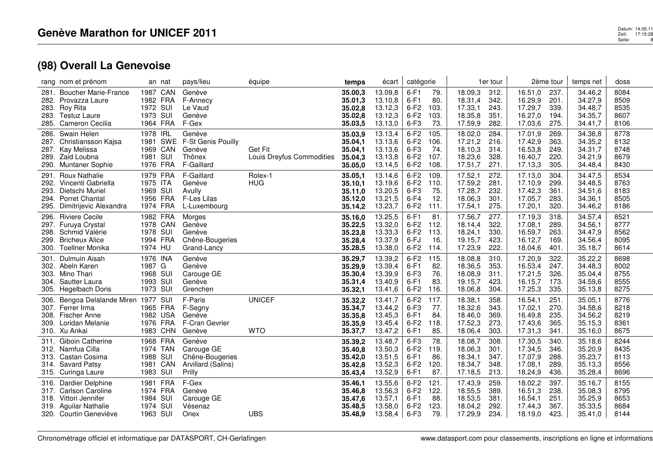| rang nom et prénom                                         | an nat               | pays/lieu                      | équipe                    | temps              | écart              | catégorie        |             |                    | 1er tour     |                    | 2ème tour    | temps net          | doss         |
|------------------------------------------------------------|----------------------|--------------------------------|---------------------------|--------------------|--------------------|------------------|-------------|--------------------|--------------|--------------------|--------------|--------------------|--------------|
| <b>Boucher Marie-France</b><br>281.<br>282. Provazza Laure | 1987 CAN<br>1982 FRA | Genève<br>F-Annecy             |                           | 35.00,3<br>35.01,3 | 13.09,8<br>13.10,8 | $6-F1$<br>$6-F1$ | 79.<br>80.  | 18.09,3<br>18.31,4 | 312.<br>342. | 16.51,0<br>16.29,9 | 237.<br>201. | 34.46,2<br>34.27,9 | 8084<br>8509 |
| <b>Roy Rita</b><br>283.                                    | 1972 SUI             | Le Vaud                        |                           | 35.02,8            | 13.12,3            | $6-F2$           | 103.        | 17.33,1            | 243.         | 17.29,7            | 339.         | 34.48,7            | 8535         |
| 283.<br>Testuz Laure                                       | 1973 SUI             | Genève                         |                           | 35.02,8            | 13.12,3            | $6-F2$           | 103.        | 18.35,8            | 351.         | 16.27,0            | 194.         | 34.35,7            | 8607         |
| <b>Cameron Cecilia</b><br>285.                             | 1964 FRA             | F-Gex                          |                           | 35.03,5            | 13.13,0            | $6-F3$           | 73.         | 17.59,9            | 282.         | 17.03,6            | 275.         | 34.41,7            | 8106         |
| Swain Helen<br>286.                                        | 1978 IRL             | Genève                         |                           | 35.03,9            | 13.13,4            | $6-F2$           | 105         | 18.02,0            | 284.         | 17.01,9            | 269.         | 34.36,8            | 8778         |
| 287.<br>Christiansson Kajsa                                | 1981<br>SWE          | F-St Genis Pouilly             |                           | 35.04,1            | 13.13,6            | $6-F2$           | 106.        | 17.21,2            | 216.         | 17.42,9            | 363.         | 34.35,2            | 8132         |
| Kay Melissa<br>287.<br>289. Zaid Loubna                    | 1969 CAN<br>1981 SUI | Genève<br>Thônex               | Get Fit                   | 35.04,1            | 13.13,6            | $6-F3$<br>$6-F2$ | 74.<br>107. | 18.10,3<br>18.23,6 | 314.<br>328. | 16.53,8<br>16.40,7 | 249.<br>220. | 34.31,7            | 8748<br>8679 |
| Muntaner Sophie<br>290.                                    | 1976 FRA             | F-Gaillard                     | Louis Dreyfus Commodities | 35.04,3<br>35.05,0 | 13.13,8<br>13.14,5 | $6-F2$           | 108.        | 17.51,7            | 271.         | 17.13,3            | 305.         | 34.21,9<br>34.48,4 | 8430         |
| <b>Roux Nathalie</b><br>291.                               | 1979 FRA             | F-Gaillard                     | Rolex-1                   | 35.05,1            | 13.14,6            | $6-F2$           | 109.        | 17.52,1            | 272.         | 17.13,0            | 304.         | 34.47,5            | 8534         |
| Vincenti Gabriella<br>292.                                 | 1975 ITA             | Genève                         | <b>HUG</b>                | 35.10.1            | 13.19,6            | $6-F2$           | 110.        | 17.59,2            | 281.         | 17.10,9            | 299.         | 34.48,5            | 8763         |
| Dietschi Muriel<br>293.                                    | 1969 SUI             | Avully                         |                           | 35.11,0            | 13.20,5            | $6-F3$           | 75.         | 17.28,7            | 232.         | 17.42,3            | 361.         | 34.51,6            | 8183         |
| 294. Porret Chantal                                        | 1956 FRA             | F-Les Lilas                    |                           | 35.12,0            | 13.21,5            | $6-F4$           | 12.         | 18.06,3            | 301.         | 17.05,7            | 283.         | 34.36,1            | 8505         |
| Dimitrijevic Alexandra<br>295.                             | 1974 FRA             | L-Luxembourg                   |                           | 35.14,2            | 13.23,7            | $6-F2$           | 111.        | 17.54,1            | 275.         | 17.20,1            | 320.         | 34.46,2            | 8186         |
| <b>Riviere Cecile</b><br>296.                              | 1982 FRA             | Morges                         |                           | 35.16,0            | 13.25,5            | $6-F1$           | 81.         | 17.56,7            | 277.         | 17.19,3            | 318.         | 34.57,4            | 8521         |
| Furuya Crystal<br>297.                                     | 1978 CAN             | Genève                         |                           | 35.22,5            | 13.32,0            | $6-F2$           | 112.        | 18.14,4            | 322.         | 17.08.1            | 289.         | 34.56,1            | 8777         |
| Schmid Valérie<br>298.                                     | 1978 SUI             | Genève                         |                           | 35.23,8            | 13.33,3            | $6-F2$           | 113.        | 18.24,1            | 330.         | 16.59,7            | 263.         | 34.47,9            | 8562         |
| 299. Bricheux Alice<br><b>Toellner Monika</b><br>300.      | 1994 FRA<br>1974 HU  | Chêne-Bougeries<br>Grand-Lancy |                           | 35.28,4<br>35.28,5 | 13.37,9<br>13.38,0 | 6-FJ<br>$6-F2$   | 16.<br>114. | 19.15,7<br>17.23,9 | 423.<br>222. | 16.12,7<br>18.04,6 | 169.<br>401. | 34.56,4<br>35.18,7 | 8095<br>8614 |
|                                                            |                      |                                |                           |                    |                    |                  |             |                    |              |                    |              |                    |              |
| Dulmuin Aisah<br>301.<br>302. Abeln Karen                  | 1976 INA<br>1987 G   | Genève<br>Genève               |                           | 35.29,7<br>35.29,9 | 13.39,2<br>13.39,4 | $6-F2$<br>$6-F1$ | 115.<br>82. | 18.08,8<br>18.36,5 | 310.<br>353. | 17.20,9<br>16.53,4 | 322.<br>247. | 35.22,2<br>34.48,3 | 8698<br>8002 |
| Mino Thari<br>303.                                         | 1968 SUI             | Carouge GE                     |                           | 35.30,4            | 13.39,9            | $6-F3$           | 76.         | 18.08,9            | 311.         | 17.21,5            | 326.         | 35.04,4            | 8755         |
| Sautter Laura<br>304.                                      | 1993 SUI             | Genève                         |                           | 35.31,4            | 13.40,9            | $6-F1$           | 83.         | 19.15,7            | 423.         | 16.15,7            | 173.         | 34.59,6            | 8555         |
| Hegelbach Doris<br>305.                                    | 1973 SUI             | Grenchen                       |                           | 35.32,1            | 13.41,6            | $6-F2$           | 116.        | 18.06.8            | 304.         | 17.25,3            | 335.         | 35.13,8            | 8275         |
| Bengoa Delalande Miren<br>306.                             | 1977 SUI             | F-Paris                        | <b>UNICEF</b>             | 35.32,2            | 13.41,7            | $6-F2$           | 117.        | 18.38,1            | 358.         | 16.54,1            | 251.         | 35.05,1            | 8776         |
| 307. Ferrer Irma                                           | 1965 FRA             | F-Segny                        |                           | 35.34,7            | 13.44,2            | $6-F3$           | 77.         | 18.32,6            | 343.         | 17.02,1            | 270.         | 34.58,6            | 8218         |
| <b>Fischer Anne</b><br>308.                                | 1982 USA             | Genève                         |                           | 35.35,8            | 13.45,3            | $6-F1$           | 84.         | 18.46,0            | 369.         | 16.49,8            | 235.         | 34.56,2            | 8219         |
| 309. Loridan Melanie<br>310. Xu Ankai                      | 1976 FRA<br>1983 CHN | F-Cran Gevrier<br>Genève       | <b>WTO</b>                | 35.35,9<br>35.37,7 | 13.45,4<br>13.47,2 | $6-F2$<br>$6-F1$ | 118.<br>85. | 17.52,3<br>18.06,4 | 273.<br>303. | 17.43,6<br>17.31,3 | 365.<br>341. | 35.15,3<br>35.16,0 | 8361<br>8675 |
| Giboin Catherine<br>311.                                   | 1968 FRA             | Genève                         |                           | 35.39,2            | 13.48,7            | $6-F3$           | 78.         | 18.08,7            | 308.         | 17.30,5            | 340.         | 35.18,6            | 8244         |
| 312. Namfua Cilla                                          | 1974 TAN             | Carouge GE                     |                           | 35.40,8            | 13.50,3            | $6-F2$           | 119.        | 18.06,3            | 301.         | 17.34,5            | 346.         | 35.20,9            | 8435         |
| 313. Castan Cosima                                         | 1988 SUI             | Chêne-Bougeries                |                           | 35.42,0            | 13.51,5            | $6-F1$           | 86.         | 18.34,1            | 347.         | 17.07,9            | 288.         | 35.23,7            | 8113         |
| 314. Savard Patsy                                          | 1981 CAN             | Arvillard (Salins)             |                           | 35.42,8            | 13.52,3            | $6-F2$           | 120.        | 18.34,7            | 348.         | 17.08,1            | 289.         | 35.13,3            | 8556         |
| 315. Curinga Laure                                         | 1983 SUI             | Prilly                         |                           | 35.43,4            | 13.52,9            | $6-F1$           | 87.         | 17.18,5            | 213.         | 18.24,9            | 436.         | 35.28,4            | 8696         |
| Dardier Delphine<br>316.                                   | 1981 FRA             | F-Gex                          |                           | 35.46,1            | 13.55,6            | $6-F2$           | 121.        | 17.43,9            | 259.         | 18.02,2            | 397.         | 35.16,7            | 8155         |
| <b>Carlson Caroline</b><br>317.                            | 1974 FRA             | Genève                         |                           | 35.46,8            | 13.56,3            | $6-F2$           | 122.        | 18.55,5            | 389.         | 16.51,3            | 238.         | 35.08,3            | 8795         |
| Vittori Jennifer<br>318.                                   | SUI<br>1984          | Carouge GE                     |                           | 35.47,6            | 13.57,1            | $6-F1$           | 88.         | 18.53,5            | 381.         | 16.54,1            | 251.         | 35.25,9            | 8653         |
| <b>Aguilar Nathalie</b><br>319.                            | SUI<br>1974          | Vésenaz                        |                           | 35.48,5            | 13.58,0            | $6-F2$           | 123.        | 18.04,2            | 292.         | 17.44,3            | 367.         | 35.33,5            | 8684         |
| 320. Courtin Geneviève                                     | 1963 SUI             | Onex                           | <b>UBS</b>                | 35.48,9            | 13.58,4            | $6-F3$           | 79.         | 17.29,9            | 234.         | 18.19,0            | 423.         | 35.41,0            | 8144         |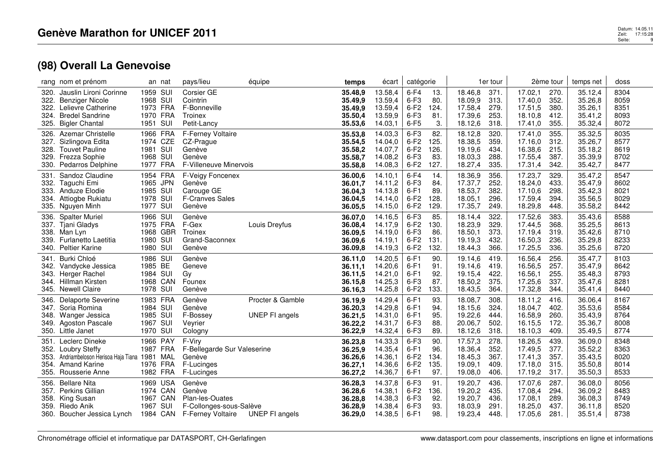|                                      | rang nom et prénom                                                                                                        |                                              | an nat                                                | pays/lieu                                                                                  | équipe                                    | temps                                               | écart                                               | catégorie                                      |                                    |                                                     | 1er tour                             |                                                     | 2ème tour                            | temps net                                           | doss                                 |
|--------------------------------------|---------------------------------------------------------------------------------------------------------------------------|----------------------------------------------|-------------------------------------------------------|--------------------------------------------------------------------------------------------|-------------------------------------------|-----------------------------------------------------|-----------------------------------------------------|------------------------------------------------|------------------------------------|-----------------------------------------------------|--------------------------------------|-----------------------------------------------------|--------------------------------------|-----------------------------------------------------|--------------------------------------|
| 320.<br>322.<br>322.<br>324.<br>325. | Jauslin Lironi Corinne<br><b>Benziger Nicole</b><br>Lelievre Catherine<br><b>Bredel Sandrine</b><br><b>Bigler Chantal</b> | 1959 SUI<br>1968 SUI<br>1970 FRA<br>1951 SUI | 1973 FRA                                              | Corsier GE<br>Cointrin<br>F-Bonneville<br>Troinex<br>Petit-Lancy                           |                                           | 35.48,9<br>35.49,9<br>35.49,9<br>35.50,4<br>35.53.6 | 13.58,4<br>13.59,4<br>13.59,4<br>13.59,9<br>14.03,1 | $6-F4$<br>$6-F3$<br>$6-F2$<br>$6-F3$<br>$6-F5$ | 13.<br>80.<br>124.<br>81.<br>3.    | 18.46,8<br>18.09,9<br>17.58,4<br>17.39,6<br>18.12,6 | 371.<br>313.<br>279.<br>253.<br>318. | 17.02,1<br>17.40,0<br>17.51,5<br>18.10,8<br>17.41,0 | 270.<br>352.<br>380.<br>412.<br>355. | 35.12,4<br>35.26,8<br>35.26,1<br>35.41,2<br>35.32,4 | 8304<br>8059<br>8351<br>8093<br>8072 |
| 326.<br>327.<br>328.<br>329.<br>330. | Azemar Christelle<br>Sizlingova Edita<br><b>Touvet Pauline</b><br>Frezza Sophie<br>Pedarros Delphine                      | 1981 SUI<br>1968 SUI<br>1977 FRA             | 1966 FRA<br>1974 CZE                                  | F-Ferney Voltaire<br>CZ-Prague<br>Genève<br>Genève<br>F-Villeneuve Minervois               |                                           | 35.53,8<br>35.54,5<br>35.58,2<br>35.58,7<br>35.58,8 | 14.03,3<br>14.04,0<br>14.07,7<br>14.08,2<br>14.08,3 | $6-F3$<br>$6-F2$<br>$6-F2$<br>$6-F3$<br>$6-F2$ | 82.<br>125.<br>126.<br>83.<br>127. | 18.12,8<br>18.38,5<br>19.19,6<br>18.03,3<br>18.27,4 | 320.<br>359.<br>434.<br>288.<br>335. | 17.41,0<br>17.16,0<br>16.38,6<br>17.55,4<br>17.31,4 | 355.<br>312.<br>215.<br>387.<br>342. | 35.32,5<br>35.26,7<br>35.18,2<br>35.39,9<br>35.42,7 | 8035<br>8577<br>8619<br>8702<br>8477 |
| 331.<br>332.<br>333.<br>334.<br>335. | Sandoz Claudine<br>Taguchi Emi<br>Anduze Elodie<br>Attiogbe Rukiatu<br>Nguyen Minh                                        | 1965<br>1985 SUI<br>1978 SUI<br>1977 SUI     | 1954 FRA<br><b>JPN</b>                                | F-Veigy Foncenex<br>Genève<br>Carouge GE<br>F-Cranves Sales<br>Genève                      |                                           | 36.00,6<br>36.01,7<br>36.04,3<br>36.04,5<br>36.05,5 | 14.10,1<br>14.11,2<br>14.13,8<br>14.14,0<br>14.15,0 | $6-F4$<br>$6-F3$<br>$6-F1$<br>$6-F2$<br>$6-F2$ | 14.<br>84.<br>89.<br>128.<br>129.  | 18.36,9<br>17.37,7<br>18.53,7<br>18.05,1<br>17.35,7 | 356.<br>252.<br>382.<br>296.<br>249. | 17.23,7<br>18.24,0<br>17.10,6<br>17.59,4<br>18.29,8 | 329.<br>433.<br>298.<br>394.<br>448. | 35.47,2<br>35.47,9<br>35.42,3<br>35.56,5<br>35.58,2 | 8547<br>8602<br>8021<br>8029<br>8442 |
| 336.<br>337.<br>338.<br>339.         | <b>Spalter Muriel</b><br>Tjani Gladys<br>Man Lyn<br>Furlanetto Laetitia<br>340. Peltier Karine                            | 1966 SUI<br>1980 SUI<br>1980                 | 1975 FRA<br>1968 GBR<br>SUI                           | Genève<br>F-Gex<br>Troinex<br>Grand-Saconnex<br>Genève                                     | Louis Dreyfus                             | 36.07,0<br>36.08,4<br>36.09,5<br>36.09.6<br>36.09,8 | 14.16,5<br>14.17,9<br>14.19,0<br>14.19,1<br>14.19,3 | $6-F3$<br>$6-F2$<br>$6-F3$<br>$6-F2$<br>$6-F2$ | 85.<br>130.<br>86.<br>131.<br>132. | 18.14.4<br>18.23,9<br>18.50,1<br>19.19,3<br>18.44,3 | 322.<br>329.<br>373.<br>432.<br>366. | 17.52,6<br>17.44,5<br>17.19,4<br>16.50,3<br>17.25,5 | 383.<br>368.<br>319.<br>236.<br>336. | 35.43,6<br>35.25,5<br>35.42,6<br>35.29,8<br>35.25,6 | 8588<br>8613<br>8710<br>8233<br>8720 |
| 341.<br>342.<br>343.<br>344.<br>345. | Burki Chloé<br>Vandycke Jessica<br>Herger Rachel<br>Hillman Kirsten<br><b>Newell Claire</b>                               | 1986 SUI<br>1985 BE<br>1984 SUI<br>1978 SUI  | 1968 CAN                                              | Genève<br>Geneve<br>Gy<br>Founex<br>Genève                                                 |                                           | 36.11.0<br>36.11,1<br>36.11,5<br>36.15,8<br>36.16,3 | 14.20,5<br>14.20,6<br>14.21,0<br>14.25,3<br>14.25,8 | $6-F1$<br>$6-F1$<br>$6-F1$<br>$6-F3$<br>$6-F2$ | 90.<br>91.<br>92.<br>87.<br>133.   | 19.14.6<br>19.14,6<br>19.15,4<br>18.50,2<br>18.43,5 | 419.<br>419.<br>422<br>375.<br>364.  | 16.56,4<br>16.56,5<br>16.56,1<br>17.25,6<br>17.32,8 | 256.<br>257.<br>255.<br>337.<br>344. | 35.47,7<br>35.47,9<br>35.48,3<br>35.47,6<br>35.41,4 | 8103<br>8642<br>8793<br>8281<br>8440 |
| 346.<br>347.<br>348.<br>349.         | <b>Delaporte Severine</b><br>Soria Romina<br>Wanger Jessica<br><b>Agoston Pascale</b><br>350. Little Janet                | 1984 SUI<br>1985 SUI<br>1967 SUI<br>1970 SUI | 1983 FRA                                              | Genève<br>Genève<br>F-Bossey<br>Veyrier<br>Cologny                                         | Procter & Gamble<br><b>UNEP FI angels</b> | 36.19,9<br>36.20.3<br>36.21,5<br>36.22,2<br>36.22,9 | 14.29,4<br>14.29,8<br>14.31,0<br>14.31,7<br>14.32,4 | $6-F1$<br>$6-F1$<br>$6-F1$<br>$6-F3$<br>$6-F3$ | 93.<br>94.<br>95.<br>88.<br>89.    | 18.08,7<br>18.15,6<br>19.22,6<br>20.06,7<br>18.12,6 | 308.<br>324.<br>444.<br>502.<br>318. | 18.11,2<br>18.04,7<br>16.58,9<br>16.15,5<br>18.10,3 | 416.<br>402.<br>260.<br>172.<br>409. | 36.06,4<br>35.53,6<br>35.43,9<br>35.36,7<br>35.49,5 | 8167<br>8584<br>8764<br>8008<br>8774 |
| 351.<br>352.<br>353.<br>354.<br>355. | Leclerc Dineke<br><b>Loubry Steffy</b><br>Andriambeloson Herisoa Haja Tiana 1981<br><b>Amand Karine</b><br>Rousserie Anne | 1966 PAY                                     | 1987 FRA<br>MAL<br>1976 FRA<br>1982 FRA               | F-Viry<br>F-Bellegarde Sur Valeserine<br>Genève<br>F-Lucinges<br>F-Lucinges                |                                           | 36.23,8<br>36.25,9<br>36.26,6<br>36.27,1<br>36.27,2 | 14.33,3<br>14.35,4<br>14.36,1<br>14.36,6<br>14.36,7 | $6-F3$<br>$6-F1$<br>$6-F2$<br>$6-F2$<br>$6-F1$ | 90.<br>96.<br>134.<br>135.<br>97.  | 17.57,3<br>18.36,4<br>18.45,3<br>19.09,1<br>19.08,0 | 278.<br>352.<br>367.<br>409.<br>406. | 18.26,5<br>17.49,5<br>17.41,3<br>17.18,0<br>17.19,2 | 439.<br>377.<br>357.<br>315.<br>317. | 36.09,0<br>35.52,2<br>35.43,5<br>35.50,8<br>35.50,3 | 8348<br>8363<br>8020<br>8014<br>8533 |
| 356.<br>357.<br>358.<br>360.         | <b>Bellare Nita</b><br>Perkins Gillian<br>King Susan<br>359. Riedo Anik<br>Boucher Jessica Lynch                          | 1967<br>1967                                 | 1969 USA<br>1974 CAN<br>CAN<br><b>SUI</b><br>1984 CAN | Genève<br>Genève<br>Plan-les-Ouates<br>F-Collonges-sous-Salève<br><b>F-Ferney Voltaire</b> | UNEP FI angels                            | 36.28,3<br>36.28,6<br>36.28,8<br>36.28,9<br>36.29,0 | 14.37,8<br>14.38,1<br>14.38,3<br>14.38,4<br>14.38,5 | $6-F3$<br>$6-F2$<br>$6-F3$<br>$6-F3$<br>$6-F1$ | 91.<br>136.<br>92.<br>93.<br>98.   | 19.20,7<br>19.20,2<br>19.20,7<br>18.03,9<br>19.23,4 | 436.<br>435.<br>436.<br>291.<br>448. | 17.07,6<br>17.08,4<br>17.08.1<br>18.25,0<br>17.05,6 | 287.<br>294.<br>289.<br>437.<br>281. | 36.08,0<br>36.09,2<br>36.08,3<br>36.11,8<br>35.51,4 | 8056<br>8483<br>8749<br>8520<br>8738 |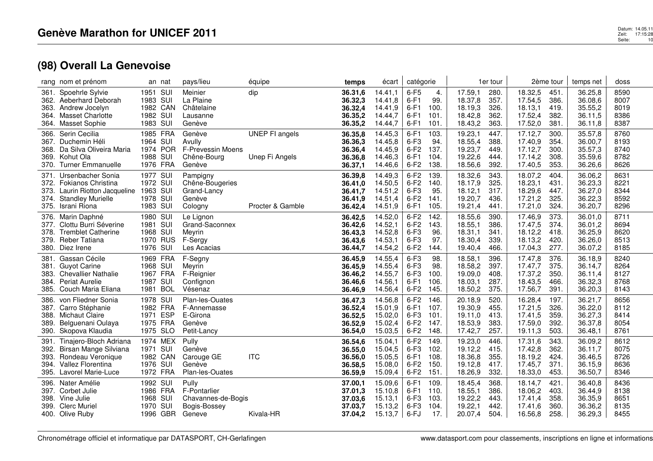| rang nom et prénom                                                                                                                                       | an nat                                                                   | pays/lieu                                                             | équipe                                  | temps                                               | écart                                               | catégorie                                      |                                      |                                                     | 1er tour                             |                                                     | 2ème tour                            | temps net                                           | doss                                 |
|----------------------------------------------------------------------------------------------------------------------------------------------------------|--------------------------------------------------------------------------|-----------------------------------------------------------------------|-----------------------------------------|-----------------------------------------------------|-----------------------------------------------------|------------------------------------------------|--------------------------------------|-----------------------------------------------------|--------------------------------------|-----------------------------------------------------|--------------------------------------|-----------------------------------------------------|--------------------------------------|
| Spoehrle Sylvie<br>361.<br>362.<br>Aeberhard Deborah<br>363.<br>Andrew Jocelyn<br><b>Masset Charlotte</b><br>364.<br><b>Masset Sophie</b><br>364.        | SUI<br>1951<br>SUI<br>1983<br>1982 CAN<br>1982 SUI<br>1983 SUI           | Meinier<br>La Plaine<br>Châtelaine<br>Lausanne<br>Genève              | dip                                     | 36.31,6<br>36.32,3<br>36.32.4<br>36.35,2<br>36.35,2 | 14.41,1<br>14.41,8<br>14.41,9<br>14.44,7<br>14.44,7 | $6-F5$<br>$6-F1$<br>$6-F1$<br>$6-F1$<br>$6-F1$ | 4.<br>99.<br>100.<br>101.<br>101.    | 17.59,1<br>18.37,8<br>18.19,3<br>18.42,8<br>18.43,2 | 280.<br>357.<br>326<br>362.<br>363.  | 18.32,5<br>17.54,5<br>18.13,1<br>17.52,4<br>17.52,0 | 451.<br>386.<br>419.<br>382.<br>381. | 36.25,8<br>36.08,6<br>35.55,2<br>36.11,5<br>36.11,8 | 8590<br>8007<br>8019<br>8386<br>8387 |
| Serin Cecilia<br>366.<br>367.<br>Duchemin Héli<br>Da Silva Oliveira Maria<br>368.<br>Kohut Ola<br>369.<br>370.<br><b>Turner Emmanuelle</b>               | 1985 FRA<br>SUI<br>1964<br><b>POR</b><br>1974<br>1988<br>SUI<br>1976 FRA | Genève<br>Avully<br>F-Prevessin Moens<br>Chêne-Bourg<br>Genève        | <b>UNEP FI angels</b><br>Unep Fi Angels | 36.35,8<br>36.36,3<br>36.36,4<br>36.36,8<br>36.37,1 | 14.45,3<br>14.45,8<br>14.45,9<br>14.46,3<br>14.46,6 | $6-F1$<br>$6-F3$<br>$6-F2$<br>$6-F1$<br>$6-F2$ | 103.<br>94.<br>137.<br>104.<br>138.  | 19.23,1<br>18.55,4<br>19.23,7<br>19.22,6<br>18.56,6 | 447.<br>388.<br>449<br>444.<br>392.  | 17.12,7<br>17.40,9<br>17.12,7<br>17.14,2<br>17.40,5 | 300.<br>354.<br>300.<br>308.<br>353. | 35.57,8<br>36.00,7<br>35.57,3<br>35.59,6<br>36.26,6 | 8760<br>8193<br>8740<br>8782<br>8626 |
| Ursenbacher Sonia<br>371.<br>Fokianos Christina<br>372.<br>373.<br>Laurin Riotton Jacqueline<br><b>Standley Murielle</b><br>374.<br>375.<br>Israni Riona | 1977<br>SUI<br>1972 SUI<br>1963 SUI<br>SUI<br>1978<br>1983 SUI           | Pampigny<br>Chêne-Bougeries<br>Grand-Lancy<br>Genève<br>Cologny       | Procter & Gamble                        | 36.39,8<br>36.41,0<br>36.41,7<br>36.41,9<br>36.42,4 | 14.49.3<br>14.50,5<br>14.51,2<br>14.51,4<br>14.51,9 | $6-F2$<br>$6-F2$<br>$6-F3$<br>$6-F2$<br>$6-F1$ | 139.<br>140.<br>95.<br>141.<br>105.  | 18.32,6<br>18.17,9<br>18.12,1<br>19.20,7<br>19.21,4 | 343.<br>325.<br>317.<br>436.<br>441. | 18.07,2<br>18.23,1<br>18.29,6<br>17.21,2<br>17.21,0 | 404.<br>431.<br>447.<br>325.<br>324. | 36.06,2<br>36.23,3<br>36.27,0<br>36.22,3<br>36.20,7 | 8631<br>8221<br>8344<br>8592<br>8296 |
| Marin Daphné<br>376.<br>Clottu Burri Séverine<br>377.<br><b>Tremblet Catherine</b><br>378.<br>Reber Tatiana<br>379.<br>380. Diez Irene                   | SUI<br>1980<br>SUI<br>1981<br>1968 SUI<br>1970<br><b>RUS</b><br>1976 SUI | Le Lignon<br>Grand-Saconnex<br>Meyrin<br>F-Sergy<br>Les Acacias       |                                         | 36.42,5<br>36.42,6<br>36.43,3<br>36.43,6<br>36.44,7 | 14.52,0<br>14.52,1<br>14.52,8<br>14.53,1<br>14.54,2 | $6-F2$<br>$6-F2$<br>$6-F3$<br>$6-F3$<br>$6-F2$ | 142.<br>143.<br>96.<br>97.<br>144.   | 18.55,6<br>18.55,1<br>18.31,1<br>18.30,4<br>19.40,4 | 390.<br>386.<br>341.<br>339.<br>466. | 17.46,9<br>17.47,5<br>18.12,2<br>18.13,2<br>17.04,3 | 373.<br>374.<br>418.<br>420.<br>277. | 36.01,0<br>36.01,2<br>36.25,9<br>36.26,0<br>36.07,2 | 8711<br>8694<br>8620<br>8513<br>8185 |
| Gassan Cécile<br>381.<br><b>Guyot Carine</b><br>381.<br><b>Chevallier Nathalie</b><br>383.<br>Periat Aurelie<br>384.<br>Couch Maria Eliana<br>385.       | 1969<br><b>FRA</b><br>1968 SUI<br>FRA<br>1967<br>SUI<br>1987<br>1981 BOL | F-Segny<br>Meyrin<br>F-Reignier<br>Confignon<br>Vésenaz               |                                         | 36.45,9<br>36.45.9<br>36.46,2<br>36.46,6<br>36.46,9 | 14.55,4<br>14.55,4<br>14.55,7<br>14.56,1<br>14.56,4 | $6-F3$<br>$6-F3$<br>$6-F3$<br>$6-F1$<br>$6-F2$ | 98.<br>98.<br>100.<br>106.<br>145.   | 18.58,1<br>18.58,2<br>19.09,0<br>18.03,1<br>18.50,2 | 396.<br>397.<br>408.<br>287.<br>375. | 17.47,8<br>17.47.7<br>17.37,2<br>18.43,5<br>17.56,7 | 376.<br>375.<br>350.<br>466.<br>391. | 36.18,9<br>36.14,7<br>36.11,4<br>36.32,3<br>36.20,3 | 8240<br>8264<br>8127<br>8768<br>8143 |
| von Fliedner Sonia<br>386.<br>Carro Stéphanie<br>387.<br>388.<br>Michaut Claire<br>Belguenani Oulaya<br>389.<br>Skopova Klaudia<br>390.                  | 1978 SUI<br>1982 FRA<br><b>ESP</b><br>1971<br>1975 FRA<br>1975 SLO       | Plan-les-Ouates<br>F-Annemasse<br>E-Girona<br>Genève<br>Petit-Lancy   |                                         | 36.47,3<br>36.52,4<br>36.52,5<br>36.52,9<br>36.54,0 | 14.56,8<br>15.01,9<br>15.02,0<br>15.02,4<br>15.03,5 | $6-F2$<br>$6-F1$<br>$6-F3$<br>$6-F2$<br>$6-F2$ | 146.<br>107.<br>101.<br>147.<br>148. | 20.18,9<br>19.30,9<br>19.11,0<br>18.53,9<br>17.42,7 | 520.<br>455<br>413.<br>383.<br>257.  | 16.28,4<br>17.21,5<br>17.41,5<br>17.59,0<br>19.11,3 | 197.<br>326.<br>359.<br>392.<br>503. | 36.21,7<br>36.22,0<br>36.27,3<br>36.37,8<br>36.48,1 | 8656<br>8112<br>8414<br>8054<br>8761 |
| Tinajero-Bloch Adriana<br>391.<br>Birsan Mange Silviana<br>392.<br>Rondeau Veronique<br>393.<br>Vallez Florentina<br>394.<br>395.<br>Lavorel Marie-Luce  | 1974<br>MEX<br>1971<br><b>SUI</b><br>1982 CAN<br>1976 SUI<br>1972 FRA    | Pully<br>Genève<br>Carouge GE<br>Genève<br>Plan-les-Ouates            | <b>ITC</b>                              | 36.54,6<br>36.55,0<br>36.56,0<br>36.58,5<br>36.59,9 | 15.04,1<br>15.04,5<br>15.05,5<br>15.08,0<br>15.09,4 | $6-F2$<br>$6-F3$<br>$6-F1$<br>$6-F2$<br>$6-F2$ | 149.<br>102.<br>108.<br>150.<br>151. | 19.23,0<br>19.12,2<br>18.36,8<br>19.12,8<br>18.26,9 | 446.<br>415<br>355.<br>417.<br>332.  | 17.31,6<br>17.42,8<br>18.19,2<br>17.45,7<br>18.33,0 | 343.<br>362.<br>424.<br>371.<br>453. | 36.09,2<br>36.11,7<br>36.46,5<br>36.15,9<br>36.50,7 | 8612<br>8075<br>8726<br>8636<br>8346 |
| Nater Amélie<br>396.<br>397. Corbet Julie<br>398.<br>Vine Julie<br>399. Clerc Muriel<br>400. Olive Ruby                                                  | 1992 SUI<br>1986<br>FRA<br>1968 SUI<br>1970<br>SUI<br>1996 GBR           | Pully<br>F-Pontarlier<br>Chavannes-de-Bogis<br>Bogis-Bossey<br>Geneve | Kivala-HR                               | 37.00,1<br>37.01,3<br>37.03,6<br>37.03,7<br>37.04,2 | 15.09,6<br>15.10,8<br>15.13,1<br>15.13,2<br>15.13,7 | $6-F1$<br>$6-F1$<br>$6-F3$<br>$6-F3$<br>6-FJ   | 109.<br>110.<br>103.<br>104.<br>17.  | 18.45,4<br>18.55,1<br>19.22,2<br>19.22,1<br>20.07,4 | 368.<br>386.<br>443.<br>442<br>504.  | 18.14,7<br>18.06,2<br>17.41,4<br>17.41,6<br>16.56,8 | 421.<br>403.<br>358.<br>360.<br>258. | 36.40,8<br>36.44,9<br>36.35,9<br>36.36,2<br>36.29,3 | 8436<br>8138<br>8651<br>8135<br>8455 |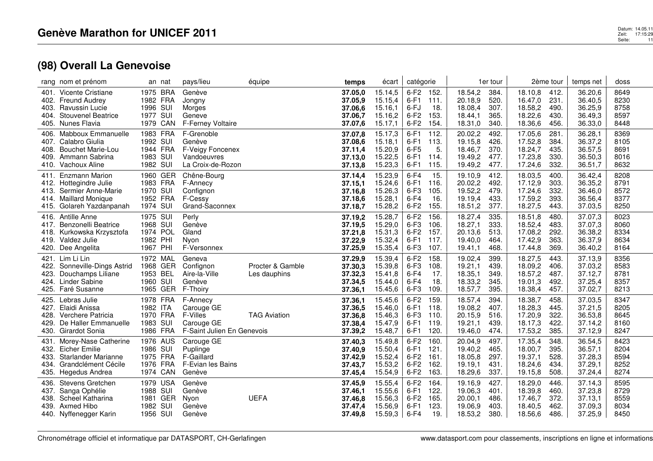|                                      | rang nom et prénom                                                                                                    |                                                          | an nat                               | pays/lieu                                                                      | équipe                           | temps                                               | écart                                               | catégorie                                      |                                     |                                                     | 1er tour                             |                                                     | 2ème tour                            | temps net                                           | doss                                 |
|--------------------------------------|-----------------------------------------------------------------------------------------------------------------------|----------------------------------------------------------|--------------------------------------|--------------------------------------------------------------------------------|----------------------------------|-----------------------------------------------------|-----------------------------------------------------|------------------------------------------------|-------------------------------------|-----------------------------------------------------|--------------------------------------|-----------------------------------------------------|--------------------------------------|-----------------------------------------------------|--------------------------------------|
| 401.<br>402.<br>403.<br>404.<br>405. | Vicente Cristiane<br><b>Freund Audrey</b><br>Ravussin Lucie<br><b>Stouvenel Beatrice</b><br>Nunes Flavia              | 1975 BRA<br>1982 FRA<br>1996 SUI<br>1977 SUI             | 1979 CAN                             | Genève<br>Jongny<br>Morges<br>Geneve<br>F-Ferney Voltaire                      |                                  | 37.05.0<br>37.05,9<br>37.06,6<br>37.06,7<br>37.07,6 | 15.14,5<br>15.15,4<br>15.16.1<br>15.16,2<br>15.17,1 | $6-F2$<br>$6-F1$<br>6-FJ<br>$6-F2$<br>$6-F2$   | 152.<br>111.<br>18.<br>153.<br>154. | 18.54,2<br>20.18,9<br>18.08.4<br>18.44,1<br>18.31,0 | 384.<br>520.<br>307.<br>365.<br>340. | 18.10,8<br>16.47,0<br>18.58,2<br>18.22,6<br>18.36,6 | 412.<br>231.<br>490.<br>430.<br>456. | 36.20,6<br>36.40,5<br>36.25,9<br>36.49,3<br>36.33,0 | 8649<br>8230<br>8758<br>8597<br>8448 |
| 406.<br>407.<br>408.<br>409.         | Mabboux Emmanuelle<br>Calabro Giulia<br><b>Bouchet Marie-Lou</b><br>Ammann Sabrina<br>410. Vachoux Aline              | 1983 FRA<br>1992 SUI<br>1944 FRA<br>1983 SUI<br>1982 SUI |                                      | F-Grenoble<br>Genève<br>F-Veigy Foncenex<br>Vandoeuvres<br>La Croix-de-Rozon   |                                  | 37.07.8<br>37.08,6<br>37.11,4<br>37.13.0<br>37.13.8 | 15.17,3<br>15.18,1<br>15.20,9<br>15.22,5<br>15.23,3 | $6-F1$<br>$6-F1$<br>$6-F5$<br>$6-F1$<br>$6-F1$ | 112.<br>113.<br>5.<br>114.<br>115.  | 20.02.2<br>19.15,8<br>18.46,7<br>19.49,2<br>19.49,2 | 492.<br>426.<br>370.<br>477.<br>477. | 17.05,6<br>17.52,8<br>18.24,7<br>17.23,8<br>17.24,6 | 281.<br>384.<br>435.<br>330.<br>332. | 36.28,1<br>36.37,2<br>36.57,5<br>36.50,3<br>36.51,7 | 8369<br>8105<br>8691<br>8016<br>8632 |
| 411.<br>413.<br>415.                 | <b>Enzmann Marion</b><br>412. Hottegindre Julie<br>Sermier Anne-Marie<br>414. Maillard Monique<br>Golareh Yazdanpanah | 1970 SUI<br>1952 FRA<br>1974 SUI                         | 1960 GER<br>1983 FRA                 | Chêne-Bourg<br>F-Annecy<br>Confignon<br>F-Cessy<br>Grand-Saconnex              |                                  | 37.14,4<br>37.15,1<br>37.16,8<br>37.18,6<br>37.18,7 | 15.23,9<br>15.24,6<br>15.26,3<br>15.28,1<br>15.28,2 | $6-F4$<br>$6-F1$<br>$6-F3$<br>$6-F4$<br>$6-F2$ | 15.<br>116.<br>105.<br>16.<br>155.  | 19.10,9<br>20.02,2<br>19.52,2<br>19.19,4<br>18.51,2 | 412.<br>492.<br>479.<br>433.<br>377. | 18.03,5<br>17.12,9<br>17.24,6<br>17.59,2<br>18.27,5 | 400.<br>303.<br>332.<br>393.<br>443. | 36.42,4<br>36.35,2<br>36.46,0<br>36.56,4<br>37.03,5 | 8208<br>8791<br>8572<br>8377<br>8250 |
| 416.<br>417.<br>418.<br>419.         | Antille Anne<br>Benzonelli Beatrice<br>Kurkowska Krzysztofa<br>Valdez Julie<br>420. Dee Angelita                      | 1975 SUI<br>1968 SUI<br>1974 POL<br>1982 PHI<br>1967 PHI |                                      | Perly<br>Genève<br>Gland<br>Nyon<br>F-Versonnex                                |                                  | 37.19,2<br>37.19,5<br>37.21,8<br>37.22,9<br>37.25,9 | 15.28,7<br>15.29,0<br>15.31,3<br>15.32,4<br>15.35,4 | $6-F2$<br>$6-F3$<br>$6-F2$<br>$6-F1$<br>$6-F3$ | 156<br>106.<br>157.<br>117.<br>107. | 18.27,4<br>18.27,1<br>20.13,6<br>19.40,0<br>19.41,1 | 335.<br>333.<br>513.<br>464.<br>468. | 18.51,8<br>18.52,4<br>17.08,2<br>17.42,9<br>17.44,8 | 480.<br>483.<br>292.<br>363.<br>369. | 37.07,3<br>37.07,3<br>36.38,2<br>36.37,9<br>36.40,2 | 8023<br>8060<br>8334<br>8634<br>8164 |
| 421.<br>422.<br>423.                 | Lim Li Lin<br>Sonneville-Dings Astrid<br>Douchamps Liliane<br>424. Linder Sabine<br>425. Faré Susanne                 | 1953 BEL<br>1960 SUI                                     | 1972 MAL<br>1968 GER<br>1965 GER     | Geneva<br>Confignon<br>Aire-la-Ville<br>Genève<br>F-Thoiry                     | Procter & Gamble<br>Les dauphins | 37.29,9<br>37.30,3<br>37.32,3<br>37.34,5<br>37.36,1 | 15.39,4<br>15.39,8<br>15.41,8<br>15.44,0<br>15.45,6 | $6-F2$<br>$6-F3$<br>$6-F4$<br>$6-F4$<br>$6-F3$ | 158<br>108.<br>17.<br>18.<br>109.   | 19.02,4<br>19.21,1<br>18.35,1<br>18.33,2<br>18.57,7 | 399.<br>439.<br>349.<br>345.<br>395. | 18.27,5<br>18.09,2<br>18.57,2<br>19.01,3<br>18.38,4 | 443.<br>406.<br>487.<br>492.<br>457. | 37.13,9<br>37.03,2<br>37.12,7<br>37.25,4<br>37.02,7 | 8356<br>8583<br>8781<br>8357<br>8213 |
| 427.<br>428.<br>429.<br>430.         | 425. Lebras Julie<br>Elaidi Anissa<br>Verchere Patricia<br>De Haller Emmanuelle<br>Girardot Sonia                     | 1982 ITA<br>1970 FRA<br>1983 SUI<br>1986 FRA             | 1978 FRA                             | F-Annecy<br>Carouge GE<br>F-Villes<br>Carouge GE<br>F-Saint Julien En Genevois | <b>TAG Aviation</b>              | 37.36,1<br>37.36,5<br>37.36,8<br>37.38,4<br>37.39,2 | 15.45,6<br>15.46,0<br>15.46,3<br>15.47,9<br>15.48,7 | $6-F2$<br>$6-F1$<br>$6-F3$<br>$6-F1$<br>$6-F1$ | 159<br>118.<br>110.<br>119.<br>120. | 18.57,4<br>19.08,2<br>20.15,9<br>19.21,1<br>19.46,0 | 394.<br>407.<br>516.<br>439.<br>474. | 18.38,7<br>18.28,3<br>17.20,9<br>18.17,3<br>17.53,2 | 458.<br>445.<br>322.<br>422.<br>385. | 37.03,5<br>37.21,5<br>36.53,8<br>37.14,2<br>37.12,9 | 8347<br>8205<br>8645<br>8160<br>8247 |
| 431.<br>432.<br>433.<br>434.<br>435. | Morey-Nase Catherine<br>Eicher Emilie<br><b>Starlander Marianne</b><br>Grandclément Cécile<br>Hegedus Andrea          | 1986 SUI<br>1975 FRA<br>1976 FRA                         | 1976 AUS<br>1974 CAN                 | Carouge GE<br>Puplinge<br>F-Gaillard<br>F-Evian les Bains<br>Genève            |                                  | 37.40,3<br>37.40,9<br>37.42,9<br>37.43,7<br>37.45,4 | 15.49,8<br>15.50,4<br>15.52,4<br>15.53,2<br>15.54,9 | $6-F2$<br>$6-F1$<br>$6-F2$<br>$6-F2$<br>$6-F2$ | 160<br>121.<br>161.<br>162.<br>163. | 20.04,9<br>19.40,2<br>18.05,8<br>19.19,1<br>18.29,6 | 497.<br>465.<br>297.<br>431.<br>337. | 17.35,4<br>18.00,7<br>19.37,1<br>18.24,6<br>19.15,8 | 348.<br>395.<br>528.<br>434.<br>508. | 36.54,5<br>36.57,1<br>37.28,3<br>37.29,1<br>37.24,4 | 8423<br>8204<br>8594<br>8252<br>8274 |
| 436.<br>437.<br>438.<br>439.         | Stevens Gretchen<br>Sanga Ophélie<br>Scheel Katharina<br>Axmed Hibo<br>440. Nyffenegger Karin                         | 1988 SUI<br>1981<br>1982<br>1956 SUI                     | 1979 USA<br><b>GER</b><br><b>SUI</b> | Genève<br>Genève<br>Nyon<br>Genève<br>Genève                                   | <b>UEFA</b>                      | 37.45,9<br>37.46,1<br>37.46,8<br>37.47,4<br>37.49,8 | 15.55,4<br>15.55,6<br>15.56,3<br>15.56,9<br>15.59,3 | $6-F2$<br>$6-F1$<br>$6-F2$<br>$6-F1$<br>$6-F4$ | 164.<br>122.<br>165.<br>123.<br>19. | 19.16,9<br>19.06.3<br>20.00,1<br>19.06,9<br>18.53,2 | 427.<br>401.<br>486.<br>403.<br>380. | 18.29,0<br>18.39,8<br>17.46,7<br>18.40,5<br>18.56,6 | 446.<br>460.<br>372.<br>462.<br>486. | 37.14,3<br>37.23,8<br>37.13,1<br>37.09,3<br>37.25,9 | 8595<br>8729<br>8559<br>8034<br>8450 |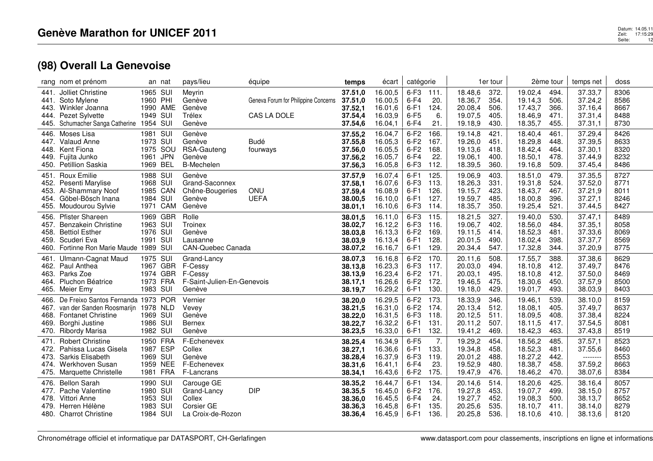|                                      | rang nom et prénom                                                                                                                      |                                                          | an nat                                                | pays/lieu                                                                 | équipe                                              | temps                                               | écart                                               | catégorie                                      |                                      |                                                     | 1er tour                             |                                                     | 2ème tour                            | temps net                                            | doss                                 |
|--------------------------------------|-----------------------------------------------------------------------------------------------------------------------------------------|----------------------------------------------------------|-------------------------------------------------------|---------------------------------------------------------------------------|-----------------------------------------------------|-----------------------------------------------------|-----------------------------------------------------|------------------------------------------------|--------------------------------------|-----------------------------------------------------|--------------------------------------|-----------------------------------------------------|--------------------------------------|------------------------------------------------------|--------------------------------------|
| 441.<br>441.<br>443.<br>444.<br>445. | Jolliet Christine<br>Soto Mylene<br>Winkler Joanna<br>Pezet Sylvette<br>Schumacher Sanga Catherine                                      | 1965 SUI<br>1960 PHI<br>1949 SUI<br>1954 SUI             | 1990 AME                                              | Meyrin<br>Genève<br>Genève<br>Trélex<br>Genève                            | Geneva Forum for Philippine Concerns<br>CAS LA DOLE | 37.51,0<br>37.51,0<br>37.52,1<br>37.54,4<br>37.54,6 | 16.00,5<br>16.00,5<br>16.01,6<br>16.03,9<br>16.04,1 | $6-F3$<br>$6-F4$<br>$6-F1$<br>$6-F5$<br>$6-F4$ | 111.<br>20.<br>124.<br>6.<br>21.     | 18.48,6<br>18.36,7<br>20.08,4<br>19.07,5<br>19.18,9 | 372<br>354.<br>506.<br>405.<br>430.  | 19.02,4<br>19.14,3<br>17.43,7<br>18.46,9<br>18.35,7 | 494.<br>506.<br>366.<br>471.<br>455. | 37.33,7<br>37.24,2<br>37.16,4<br>37.31,4<br>37.31,1  | 8306<br>8586<br>8667<br>8488<br>8730 |
| 446.<br>447.<br>448.<br>449.<br>450. | Moses Lisa<br>Valaud Anne<br>Kent Fiona<br>Fujita Junko<br><b>Petillion Saskia</b>                                                      | 1981 SUI<br>1973 SUI<br>1961<br>1969                     | 1975 SOU<br><b>JPN</b><br>BEL                         | Genève<br>Genève<br>RSA-Gauteng<br>Genève<br><b>B-Mechelen</b>            | <b>Budé</b><br>fourways                             | 37.55,2<br>37.55,8<br>37.56,0<br>37.56,2<br>37.56,3 | 16.04,7<br>16.05,3<br>16.05,5<br>16.05,7<br>16.05,8 | $6-F2$<br>$6-F2$<br>$6-F2$<br>$6-F4$<br>$6-F3$ | 166.<br>167.<br>168.<br>22.<br>112.  | 19.14,8<br>19.26,0<br>19.13,6<br>19.06.1<br>18.39,5 | 421.<br>451.<br>418.<br>400.<br>360. | 18.40,4<br>18.29,8<br>18.42,4<br>18.50,1<br>19.16,8 | 461.<br>448.<br>464.<br>478.<br>509. | 37.29,4<br>37.39,5<br>37.30,1<br>37.44,9<br>37.45,4  | 8426<br>8633<br>8320<br>8232<br>8486 |
| 451.<br>452.<br>453.<br>455.         | <b>Roux Emilie</b><br>Pesenti Marylise<br>Al-Shammary Noof<br>454. Göbel-Bösch Inana<br>Moudourou Sylvie                                | 1988 SUI<br>1968 SUI<br>1984 SUI<br>1971                 | 1985 CAN<br>CAM                                       | Genève<br>Grand-Saconnex<br>Chêne-Bougeries<br>Genève<br>Genève           | ONU<br><b>UEFA</b>                                  | 37.57,9<br>37.58,1<br>37.59,4<br>38.00,5<br>38.01,1 | 16.07,4<br>16.07,6<br>16.08,9<br>16.10,0<br>16.10,6 | $6-F1$<br>$6-F3$<br>$6-F1$<br>$6-F1$<br>$6-F3$ | 125.<br>113.<br>126.<br>127.<br>114. | 19.06,9<br>18.26,3<br>19.15,7<br>19.59,7<br>18.35,7 | 403.<br>331.<br>423.<br>485<br>350.  | 18.51,0<br>19.31,8<br>18.43,7<br>18.00,8<br>19.25,4 | 479.<br>524.<br>467.<br>396.<br>521. | 37.35,5<br>37.52,0<br>37.21,9<br>37.27,1<br>37.44,5  | 8727<br>8771<br>8011<br>8246<br>8427 |
| 456.<br>457.<br>458.<br>459.<br>460. | <b>Pfister Shareen</b><br>Benzakein Christine<br><b>Bettiol Esther</b><br>Scuderi Eva<br>Fortinne Ron Marie Maude 1989                  | 1963 SUI<br>1976 SUI<br>1991 SUI                         | 1969 GBR<br>SUI                                       | Rolle<br>Troinex<br>Genève<br>Lausanne<br><b>CAN-Quebec Canada</b>        |                                                     | 38.01,5<br>38.02,7<br>38.03,8<br>38.03.9<br>38.07,2 | 16.11,0<br>16.12,2<br>16.13,3<br>16.13,4<br>16.16,7 | $6-F3$<br>$6-F3$<br>$6-F2$<br>$6-F1$<br>$6-F1$ | 115.<br>116.<br>169.<br>128.<br>129. | 18.21,5<br>19.06,7<br>19.11,5<br>20.01,5<br>20.34,4 | 327.<br>402.<br>414.<br>490.<br>547. | 19.40,0<br>18.56,0<br>18.52,3<br>18.02,4<br>17.32,8 | 530.<br>484.<br>481.<br>398.<br>344. | 37.47,1<br>37.35,1<br>37.33,6<br>37.37,7<br>37.20,9  | 8489<br>8058<br>8069<br>8569<br>8775 |
| 461.<br>463.<br>464.<br>465.         | Ulmann-Cagnat Maud<br>462. Paul Anthea<br>Parks Zoe<br>Pluchon Béatrice<br>Meier Emy                                                    | 1975 SUI<br>1967<br>1974<br>1983                         | <b>GBR</b><br><b>GBR</b><br>1973 FRA<br>SUI           | Grand-Lancy<br>F-Cessy<br>F-Cessy<br>F-Saint-Julien-En-Genevois<br>Genève |                                                     | 38.07,3<br>38.13,8<br>38.13,9<br>38.17,1<br>38.19,7 | 16.16,8<br>16.23,3<br>16.23,4<br>16.26,6<br>16.29,2 | $6-F2$<br>$6-F3$<br>$6-F2$<br>$6-F2$<br>$6-F1$ | 170.<br>117.<br>171.<br>172.<br>130. | 20.11,6<br>20.03,0<br>20.03,1<br>19.46,5<br>19.18,0 | 508.<br>494.<br>495.<br>475<br>429.  | 17.55,7<br>18.10,8<br>18.10,8<br>18.30,6<br>19.01,7 | 388.<br>412.<br>412.<br>450.<br>493. | 37.38,6<br>37.49,7<br>37.50,0<br>37.57,9<br>38.03,9  | 8629<br>8476<br>8469<br>8500<br>8403 |
| 466.<br>467.<br>468.<br>469.<br>470. | De Freixo Santos Fernanda 1973 POR<br>van der Sanden Roosmarijn<br><b>Fontanet Christine</b><br>Borghi Justine<br><b>Ribordy Marisa</b> | 1978 NLD<br>1969 SUI<br>1986 SUI<br>1982 SUI             |                                                       | Vernier<br>Vevey<br>Genève<br><b>Bernex</b><br>Genève                     |                                                     | 38.20,0<br>38.21,5<br>38.22,0<br>38.22,7<br>38.23,5 | 16.29,5<br>16.31,0<br>16.31,5<br>16.32,2<br>16.33,0 | $6-F2$<br>$6-F2$<br>$6-F3$<br>$6-F1$<br>$6-F1$ | 173.<br>174.<br>118.<br>131.<br>132. | 18.33,9<br>20.13,4<br>20.12,5<br>20.11,2<br>19.41,2 | 346.<br>512.<br>511.<br>507.<br>469. | 19.46,1<br>18.08,1<br>18.09,5<br>18.11,5<br>18.42,3 | 539.<br>405.<br>408.<br>417.<br>463. | 38.10,0<br>37.49,7<br>37.38,4<br>37.54,5<br>37.43,8  | 8159<br>8637<br>8224<br>8081<br>8519 |
| 471.<br>472.<br>473.<br>474.<br>475. | <b>Robert Christine</b><br>Pahissa Lucas Gisela<br>Sarkis Elisabeth<br>Werkhoven Susan<br>Marquette Christelle                          | 1987<br>1969                                             | 1950 FRA<br><b>ESP</b><br>SUI<br>1959 NEE<br>1981 FRA | F-Echenevex<br>Collex<br>Genève<br>F-Echenevex<br>F-Lancrans              |                                                     | 38.25.4<br>38.27,1<br>38.28,4<br>38.31,6<br>38.34,1 | 16.34,9<br>16.36,6<br>16.37,9<br>16.41,1<br>16.43,6 | $6-F5$<br>$6-F1$<br>$6-F3$<br>$6-F4$<br>$6-F2$ | 7.<br>133.<br>119.<br>23.<br>175.    | 19.29,2<br>19.34,8<br>20.01,2<br>19.52,9<br>19.47,9 | 454.<br>458.<br>488.<br>480.<br>476. | 18.56,2<br>18.52,3<br>18.27,2<br>18.38,7<br>18.46,2 | 485.<br>481.<br>442.<br>458.<br>470. | 37.57,1<br>37.55,6<br>--------<br>37.59,2<br>38.07,6 | 8523<br>8460<br>8553<br>8663<br>8384 |
| 476.<br>477.<br>478.<br>479.         | <b>Bellon Sarah</b><br>Pache Valentine<br>Vittori Anne<br>Herren Hélène<br>480. Charrot Christine                                       | 1990 SUI<br>1980 SUI<br>1953 SUI<br>1983 SUI<br>1984 SUI |                                                       | Carouge GE<br>Grand-Lancy<br>Collex<br>Corsier GE<br>La Croix-de-Rozon    | <b>DIP</b>                                          | 38.35,2<br>38.35,5<br>38.36,0<br>38.36,3<br>38.36,4 | 16.44,7<br>16.45,0<br>16.45,5<br>16.45,8<br>16.45,9 | $6-F1$<br>$6-F2$<br>$6-F4$<br>$6-F1$<br>$6-F1$ | 134.<br>176.<br>24.<br>135.<br>136.  | 20.14,6<br>19.27,8<br>19.27,7<br>20.25,6<br>20.25,8 | 514.<br>453.<br>452<br>535.<br>536.  | 18.20,6<br>19.07,7<br>19.08,3<br>18.10,7<br>18.10,6 | 425.<br>499.<br>500.<br>411.<br>410. | 38.16,4<br>38.15,0<br>38.13,7<br>38.14,0<br>38.13,6  | 8057<br>8757<br>8652<br>8279<br>8120 |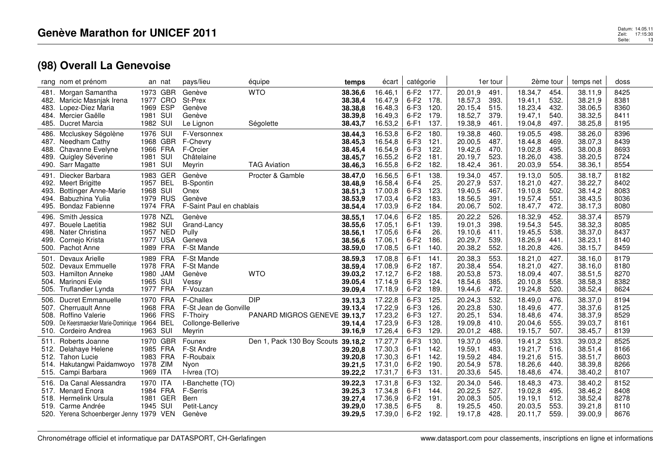|                                      | rang nom et prénom                                                                                                               |                              | an nat                                       | pays/lieu                                                                      | équipe                                     | temps                                               | écart                                               | catégorie                                         |                                      |                                                     | 1er tour                             |                                                     | 2ème tour                            | temps net                                           | doss                                 |
|--------------------------------------|----------------------------------------------------------------------------------------------------------------------------------|------------------------------|----------------------------------------------|--------------------------------------------------------------------------------|--------------------------------------------|-----------------------------------------------------|-----------------------------------------------------|---------------------------------------------------|--------------------------------------|-----------------------------------------------------|--------------------------------------|-----------------------------------------------------|--------------------------------------|-----------------------------------------------------|--------------------------------------|
| 481.<br>482.<br>483.<br>484.<br>485. | Morgan Samantha<br>Maricic Masnjak Irena<br>Lopez-Diez Maria<br>Mercier Gaëlle<br>Ducret Marcia                                  | 1977<br>1981 SUI<br>1982 SUI | 1973 GBR<br>CRO<br>1969 ESP                  | Genève<br>St-Prex<br>Genève<br>Genève<br>Le Lignon                             | <b>WTO</b><br>Ségolette                    | 38.36,6<br>38.38,4<br>38.38,8<br>38.39,8<br>38.43,7 | 16.46,1<br>16.47,9<br>16.48,3<br>16.49,3<br>16.53,2 | 6-F2 177.<br>$6-F2$<br>$6-F3$<br>$6-F2$<br>$6-F1$ | 178.<br>120<br>179<br>137.           | 20.01,9<br>18.57,3<br>20.15,4<br>18.52,7<br>19.38,9 | 491.<br>393.<br>515.<br>379.<br>461. | 18.34,7<br>19.41,1<br>18.23,4<br>19.47,1<br>19.04,8 | 454.<br>532.<br>432.<br>540.<br>497. | 38.11,9<br>38.21,9<br>38.06,5<br>38.32,5<br>38.25,8 | 8425<br>8381<br>8360<br>8411<br>8195 |
| 486.<br>487.<br>488.<br>489.<br>490. | Mccluskey Ségolène<br>Needham Cathy<br>Chavanne Evelyne<br>Quigley Séverine<br>Sarr Magatte                                      | 1976 SUI<br>1981<br>1981     | 1968 GBR<br>1966 FRA<br>SUI<br>SUI           | F-Versonnex<br>F-Chevry<br>F-Orcier<br>Châtelaine<br>Meyrin                    | <b>TAG Aviation</b>                        | 38.44,3<br>38.45,3<br>38.45,4<br>38.45,7<br>38.46,3 | 16.53,8<br>16.54,8<br>16.54,9<br>16.55,2<br>16.55,8 | $6-F2$<br>$6-F3$<br>$6-F3$<br>$6-F2$<br>$6-F2$    | 180<br>121.<br>122.<br>181.<br>182.  | 19.38,8<br>20.00,5<br>19.42,6<br>20.19,7<br>18.42,4 | 460.<br>487.<br>470.<br>523.<br>361. | 19.05,5<br>18.44,8<br>19.02,8<br>18.26,0<br>20.03,9 | 498.<br>469.<br>495.<br>438.<br>554. | 38.26,0<br>38.07,3<br>38.00,8<br>38.20,5<br>38.36,1 | 8396<br>8439<br>8693<br>8724<br>8554 |
| 491.<br>492.<br>493.<br>494.<br>495. | Diecker Barbara<br><b>Meert Brigitte</b><br><b>Bottinger Anne-Marie</b><br>Babuzhina Yulia<br><b>Bondaz Fabienne</b>             | 1968 SUI                     | 1983 GER<br>1957 BEL<br>1979 RUS<br>1974 FRA | Genève<br><b>B-Spontin</b><br>Onex<br>Genève<br>F-Saint Paul en chablais       | Procter & Gamble                           | 38.47,0<br>38.48,9<br>38.51,3<br>38.53,9<br>38.54,4 | 16.56,5<br>16.58,4<br>17.00,8<br>17.03,4<br>17.03,9 | $6-F1$<br>$6-F4$<br>$6-F3$<br>$6-F2$<br>$6-F2$    | 138<br>25.<br>123.<br>183.<br>184.   | 19.34,0<br>20.27,9<br>19.40,5<br>18.56,5<br>20.06,7 | 457.<br>537.<br>467.<br>391.<br>502. | 19.13,0<br>18.21,0<br>19.10,8<br>19.57,4<br>18.47,7 | 505.<br>427.<br>502.<br>551<br>472.  | 38.18,7<br>38.22,7<br>38.14,2<br>38.43,5<br>38.17,3 | 8182<br>8402<br>8083<br>8036<br>8080 |
| 496.<br>497.<br>498.<br>499.         | Smith Jessica<br><b>Bouele Laetitia</b><br>Nater Christina<br>Cornejo Krista<br>500. Pachot Anne                                 | 1978 NZL<br>1982 SUI         | 1957 NED<br>1977 USA<br>1989 FRA             | Genève<br>Grand-Lancy<br>Pully<br>Geneva<br>F-St Mande                         |                                            | 38.55,1<br>38.55,6<br>38.56,1<br>38.56,6<br>38.59,0 | 17.04,6<br>17.05,1<br>17.05,6<br>17.06,1<br>17.08,5 | $6-F2$<br>$6-F1$<br>$6-F4$<br>$6-F2$<br>$6-F1$    | 185<br>139.<br>26.<br>186.<br>140.   | 20.22,2<br>19.01,3<br>19.10,6<br>20.29,7<br>20.38,2 | 526.<br>398.<br>411.<br>539.<br>552. | 18.32,9<br>19.54,3<br>19.45,5<br>18.26,9<br>18.20,8 | 452.<br>545.<br>538.<br>441.<br>426. | 38.37,4<br>38.32,3<br>38.37,0<br>38.23,1<br>38.15,7 | 8579<br>8085<br>8437<br>8140<br>8459 |
| 501.<br>502.<br>503.<br>505.         | Devaux Arielle<br>Devaux Emmuelle<br><b>Hamilton Anneke</b><br>504. Marinoni Evie<br>Truflandier Lynda                           | 1965 SUI                     | 1989 FRA<br>1978 FRA<br>1980 JAM<br>1977 FRA | F-St Mande<br>F-St Mande<br>Genève<br>Vessy<br>F-Vouzan                        | <b>WTO</b>                                 | 38.59,3<br>38.59,4<br>39.03,2<br>39.05,4<br>39.09,4 | 17.08,8<br>17.08,9<br>17.12,7<br>17.14,9<br>17.18,9 | $6-F1$<br>$6-F2$<br>$6-F2$<br>$6-F3$<br>$6-F2$    | 141.<br>187.<br>188.<br>124.<br>189. | 20.38,3<br>20.38,4<br>20.53,8<br>18.54,6<br>19.44,6 | 553.<br>554.<br>573.<br>385.<br>472. | 18.21,0<br>18.21,0<br>18.09,4<br>20.10,8<br>19.24,8 | 427.<br>427.<br>407.<br>558.<br>520. | 38.16,0<br>38.16,0<br>38.51,5<br>38.58,3<br>38.52,4 | 8179<br>8180<br>8270<br>8382<br>8624 |
| 506.<br>507.<br>508.<br>509.         | <b>Ducret Emmanuelle</b><br><b>Cherruault Anne</b><br>Roffino Valerie<br>De Keersmaecker Marie-Dominique<br>510. Cordeiro Andrea | 1964 BEL<br>1963 SUI         | 1970 FRA<br>1968 FRA<br>1966 FRS             | F-Challex<br>F-St Jean de Gonville<br>F-Thoiry<br>Collonge-Bellerive<br>Meyrin | <b>DIP</b><br>PANARD MIGROS GENEVE 39.13,7 | 39.13,3<br>39.13,4<br>39.14,4<br>39.16,9            | 17.22,8<br>17.22,9<br>17.23,2<br>17.23,9<br>17.26,4 | $6-F3$<br>$6-F3$<br>$6-F3$<br>$6-F3$<br>$6-F3$    | 125<br>126.<br>127.<br>128<br>129.   | 20.24,3<br>20.23,8<br>20.25,1<br>19.09,8<br>20.01,2 | 532.<br>530.<br>534.<br>410.<br>488. | 18.49,0<br>18.49,6<br>18.48,6<br>20.04,6<br>19.15,7 | 476.<br>477.<br>474.<br>555.<br>507. | 38.37,0<br>38.37,6<br>38.37,9<br>39.03,7<br>38.45,7 | 8194<br>8125<br>8529<br>8161<br>8139 |
| 511.<br>512.<br>512.<br>514.         | Roberts Joanne<br>Delahaye Helene<br>Tahon Lucie<br>Hakutangwi Paidamwoyo<br>515. Campi Barbara                                  | 1978 ZIM<br>1969 ITA         | 1970 GBR<br>1985 FRA<br>1983 FRA             | Founex<br>F-St Andre<br>F-Roubaix<br>Nyon<br>I-Ivrea (TO)                      | Den 1, Pack 130 Boy Scouts 39.18,2         | 39.20,8<br>39.20,8<br>39.21,5<br>39.22,2            | 17.27,7<br>17.30,3<br>17.30,3<br>17.31,0<br>17.31,7 | $6-F3$<br>$6-F1$<br>$6-F1$<br>$6-F2$<br>$6-F3$    | 130<br>142.<br>142.<br>190.<br>131.  | 19.37,0<br>19.59,1<br>19.59,2<br>20.54,9<br>20.33,6 | 459.<br>483.<br>484.<br>578.<br>545. | 19.41,2<br>19.21,7<br>19.21,6<br>18.26,6<br>18.48,6 | 533.<br>516.<br>515.<br>440.<br>474. | 39.03,2<br>38.51,4<br>38.51,7<br>38.39,8<br>38.40,2 | 8525<br>8166<br>8603<br>8266<br>8107 |
| 516.<br>517.<br>518.                 | Da Canal Alessandra<br>Menard Enora<br>Hermelink Ursula<br>519. Carme Andrée<br>520. Yerena Schoenberger Jenny 1979 VEN          | 1970 ITA<br>1981<br>1945 SUI | 1984 FRA<br>GER                              | I-Banchette (TO)<br>F-Serris<br>Bern<br>Petit-Lancy<br>Genève                  |                                            | 39.22,3<br>39.25,3<br>39.27,4<br>39.29,0<br>39.29,5 | 17.31,8<br>17.34,8<br>17.36,9<br>17.38,5<br>17.39,0 | $6-F3$<br>$6-F1$<br>$6-F2$<br>$6-F5$<br>$6-F2$    | 132.<br>144.<br>191.<br>8.<br>192.   | 20.34,0<br>20.22,5<br>20.08,3<br>19.25,5<br>19.17,8 | 546.<br>527.<br>505.<br>450.<br>428. | 18.48,3<br>19.02,8<br>19.19.1<br>20.03,5<br>20.11,7 | 473.<br>495.<br>512.<br>553.<br>559. | 38.40,2<br>38.46,2<br>38.52,4<br>39.21,8<br>39.00,9 | 8152<br>8408<br>8278<br>8110<br>8676 |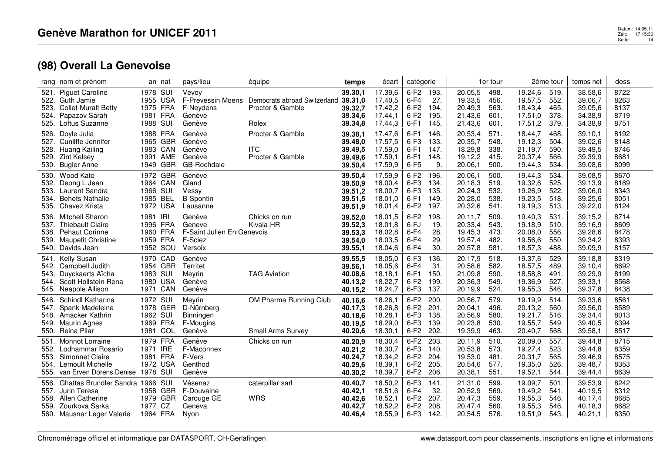|                              | rang nom et prénom                                                                                                         |                                              | an nat                                       | pays/lieu                                                            | équipe                                                            | temps                                               | écart                                               | catégorie                                      |                                      |                                                     | 1er tour                             |                                                     | 2ème tour                            | temps net                                           | doss                                 |
|------------------------------|----------------------------------------------------------------------------------------------------------------------------|----------------------------------------------|----------------------------------------------|----------------------------------------------------------------------|-------------------------------------------------------------------|-----------------------------------------------------|-----------------------------------------------------|------------------------------------------------|--------------------------------------|-----------------------------------------------------|--------------------------------------|-----------------------------------------------------|--------------------------------------|-----------------------------------------------------|--------------------------------------|
| 521.<br>523.<br>524.         | <b>Piguet Caroline</b><br>522. Guth Jamie<br><b>Collet-Muralt Betty</b><br>Papazov Sarah<br>525. Loftus Suzanne            | 1978 SUI<br>1975 FRA<br>1981 FRA<br>1988 SUI | 1955 USA                                     | Vevey<br><b>F-Prevessin Moens</b><br>F-Neydens<br>Genève<br>Genève   | Democrats abroad Switzerland 39.31,0<br>Procter & Gamble<br>Rolex | 39.30,1<br>39.32,7<br>39.34,6<br>39.34,8            | 17.39,6<br>17.40.5<br>17.42,2<br>17.44,1<br>17.44,3 | $6-F2$<br>$6-F4$<br>$6-F2$<br>$6-F2$<br>$6-F1$ | 193.<br>27.<br>194.<br>195.<br>145.  | 20.05,5<br>19.33,5<br>20.49,3<br>21.43,6<br>21.43,6 | 498.<br>456.<br>563.<br>601.<br>601. | 19.24,6<br>19.57,5<br>18.43,4<br>17.51,0<br>17.51,2 | 519.<br>552.<br>465.<br>378.<br>379. | 38.58,6<br>39.06,7<br>39.05,6<br>34.38,9<br>34.38,9 | 8722<br>8263<br>8137<br>8719<br>8751 |
| 526.<br>527.<br>528.<br>530. | Doyle Julia<br>Cunliffe Jennifer<br>Huang Kailing<br>529. Zint Kelsey<br><b>Bugler Anne</b>                                | 1988 FRA                                     | 1965 GBR<br>1983 CAN<br>1991 AME<br>1949 GBR | Genève<br>Genève<br>Genève<br>Genève<br>GB-Rochdale                  | Procter & Gamble<br><b>ITC</b><br>Procter & Gamble                | 39.38,1<br>39.48,0<br>39.49,5<br>39.49,6<br>39.50,4 | 17.47,6<br>17.57,5<br>17.59.0<br>17.59,1<br>17.59,9 | $6-F1$<br>$6-F3$<br>$6-F1$<br>$6-F1$<br>$6-F5$ | 146.<br>133.<br>147.<br>148.<br>9.   | 20.53,4<br>20.35,7<br>18.29,8<br>19.12,2<br>20.06,1 | 571.<br>548.<br>338.<br>415.<br>500. | 18.44,7<br>19.12,3<br>21.19.7<br>20.37,4<br>19.44,3 | 468.<br>504.<br>590.<br>566.<br>534. | 39.10,1<br>39.02,6<br>39.49,5<br>39.39,9<br>39.08,6 | 8192<br>8148<br>8746<br>8681<br>8099 |
| 530.<br>532.<br>533.<br>534. | Wood Kate<br>Deong L Jean<br>Laurent Sandra<br><b>Behets Nathalie</b><br>535. Chavez Krista                                | 1966 SUI<br>1985 BEL<br>1972 USA             | 1972 GBR<br>1964 CAN                         | Genève<br>Gland<br>Vessy<br><b>B-Spontin</b><br>Lausanne             |                                                                   | 39.50,4<br>39.50,9<br>39.51,2<br>39.51,5<br>39.51,9 | 17.59,9<br>18.00,4<br>18.00,7<br>18.01,0<br>18.01,4 | $6-F2$<br>$6-F3$<br>$6-F3$<br>$6-F1$<br>$6-F2$ | 196.<br>134.<br>135.<br>149.<br>197. | 20.06,1<br>20.18,3<br>20.24,3<br>20.28,0<br>20.32,6 | 500.<br>519.<br>532.<br>538.<br>541. | 19.44,3<br>19.32,6<br>19.26,9<br>19.23,5<br>19.19,3 | 534.<br>525.<br>522.<br>518.<br>513. | 39.08,5<br>39.13,9<br>39.06,0<br>39.25,6<br>39.22,0 | 8670<br>8169<br>8343<br>8051<br>8124 |
| 536.<br>537.<br>538.         | <b>Mitchell Sharon</b><br><b>Thiebault Claire</b><br><b>Pehaut Corinne</b><br>539. Maupetit Christine<br>540. Davids Jean  | 1981 IRI<br>1960 FRA<br>1959 FRA             | 1996 FRA<br>1952 SOU                         | Genève<br>Geneve<br>F-Saint Julien En Genevois<br>F-Sciez<br>Versoix | Chicks on run<br>Kivala-HR                                        | 39.52,0<br>39.52,3<br>39.53,3<br>39.54,0<br>39.55,1 | 18.01,5<br>18.01,8<br>18.02,8<br>18.03,5<br>18.04,6 | $6-F2$<br>6-FJ<br>$6-F4$<br>$6-F4$<br>$6-F4$   | 198.<br>19.<br>28.<br>29.<br>30.     | 20.11,7<br>20.33,4<br>19.45,3<br>19.57,4<br>20.57,8 | 509.<br>543.<br>473.<br>482.<br>581. | 19.40,3<br>19.18,9<br>20.08,0<br>19.56,6<br>18.57,3 | 531<br>510.<br>556.<br>550.<br>488.  | 39.15,2<br>39.16,9<br>39.28,6<br>39.34,2<br>39.09,9 | 8714<br>8609<br>8478<br>8393<br>8157 |
| 541.<br>542.<br>543.<br>545. | Kelly Susan<br>Campbell Judith<br>Duyckaerts Aïcha<br>544. Scott Hollstein Rena<br>Neapole Allison                         | 1983 SUI                                     | 1970 CAD<br>1954 GBR<br>1980 USA<br>1971 CAN | Genève<br>Territet<br>Meyrin<br>Genève<br>Genève                     | <b>TAG Aviation</b>                                               | 39.55,5<br>39.56,1<br>40.08,6<br>40.13,2<br>40.15,2 | 18.05,0<br>18.05,6<br>18.18.1<br>18.22,7<br>18.24,7 | $6-F3$<br>$6-F4$<br>$6-F1$<br>$6-F2$<br>$6-F3$ | 136.<br>31.<br>150.<br>199.<br>137.  | 20.17,9<br>20.58,6<br>21.09.8<br>20.36,3<br>20.19,9 | 518.<br>582.<br>590.<br>549.<br>524. | 19.37,6<br>18.57,5<br>18.58,8<br>19.36,9<br>19.55,3 | 529.<br>489.<br>491.<br>527.<br>546. | 39.18,8<br>39.10,4<br>39.29,9<br>39.33,1<br>39.37,8 | 8319<br>8692<br>8199<br>8568<br>8438 |
| 546.<br>547.<br>548.         | Schindl Katharina<br>Spank Madeleine<br>Amacker Kathrin<br>549. Maurin Agnes<br>550. Reina Pilar                           | 1972 SUI<br>1962 SUI<br>1969 FRA             | 1978 GER<br>1981 COL                         | Meyrin<br>D-Nürnberg<br>Binningen<br>F-Mougins<br>Genève             | OM Pharma Running Club<br>Small Arms Survey                       | 40.16,6<br>40.17,3<br>40.18,6<br>40.19,5<br>40.20,6 | 18.26,1<br>18.26,8<br>18.28,1<br>18.29,0<br>18.30,1 | $6-F2$<br>$6-F2$<br>$6-F3$<br>$6-F3$<br>$6-F2$ | 200.<br>201.<br>138.<br>139.<br>202. | 20.56,7<br>20.04,1<br>20.56,9<br>20.23,8<br>19.39,9 | 579.<br>496.<br>580.<br>530.<br>463. | 19.19,9<br>20.13,2<br>19.21,7<br>19.55,7<br>20.40,7 | 514.<br>560.<br>516.<br>549.<br>568. | 39.33,6<br>39.56,0<br>39.34,4<br>39.40,5<br>39.58,1 | 8561<br>8589<br>8013<br>8394<br>8517 |
| 551.<br>552.<br>553.<br>554. | Monnot Lorraine<br>Lodhammar Rosario<br>Simonnet Claire<br>Lemoult Michelle<br>555. van Erven Dorens Denise                | 1979 FRA<br>1971 IRE<br>1981 FRA<br>1978 SUI | 1972 USA                                     | Genève<br>F-Maconnex<br>F-Vers<br>Genthod<br>Genève                  | Chicks on run                                                     | 40.20,9<br>40.21,2<br>40.24,7<br>40.29,6<br>40.30,2 | 18.30,4<br>18.30,7<br>18.34,2<br>18.39,1<br>18.39,7 | $6-F2$<br>$6-F3$<br>$6-F2$<br>$6-F2$<br>$6-F2$ | 203.<br>140.<br>204.<br>205.<br>206. | 20.11,9<br>20.53,8<br>19.53,0<br>20.54,6<br>20.38,1 | 510.<br>573.<br>481.<br>577.<br>551. | 20.09,0<br>19.27,4<br>20.31,7<br>19.35,0<br>19.52,1 | 557.<br>523.<br>565.<br>526.<br>544. | 39.44,8<br>39.44,8<br>39.46,9<br>39.48,7<br>39.44,4 | 8715<br>8359<br>8575<br>8353<br>8639 |
| 556.<br>557.<br>558.<br>559. | Ghattas Brundler Sandra 1966 SUI<br>Jurin Teresa<br><b>Allen Catherine</b><br>Zourkova Sarka<br>560. Mausner Leger Valerie | 1977 CZ<br>1964 FRA                          | 1958 GBR<br>1979 GBR                         | Vésenaz<br>F-Douvaine<br>Carouge GE<br>Geneva<br>Nyon                | caterpillar sarl<br><b>WRS</b>                                    | 40.40,7<br>40.42,1<br>40.42,6<br>40.42,7<br>40.46,4 | 18.50,2<br>18.51,6<br>18.52,1<br>18.52,2<br>18.55,9 | $6-F3$<br>$6-F4$<br>$6-F2$<br>$6-F2$<br>$6-F3$ | 141.<br>32.<br>207.<br>208.<br>142.  | 21.31,0<br>20.52,9<br>20.47,3<br>20.47,4<br>20.54,5 | 599.<br>569.<br>559.<br>560.<br>576. | 19.09,7<br>19.49,2<br>19.55,3<br>19.55,3<br>19.51,9 | 501.<br>541.<br>546.<br>546.<br>543. | 39.53,9<br>40.19,5<br>40.17,4<br>40.18,3<br>40.21,1 | 8242<br>8312<br>8685<br>8682<br>8350 |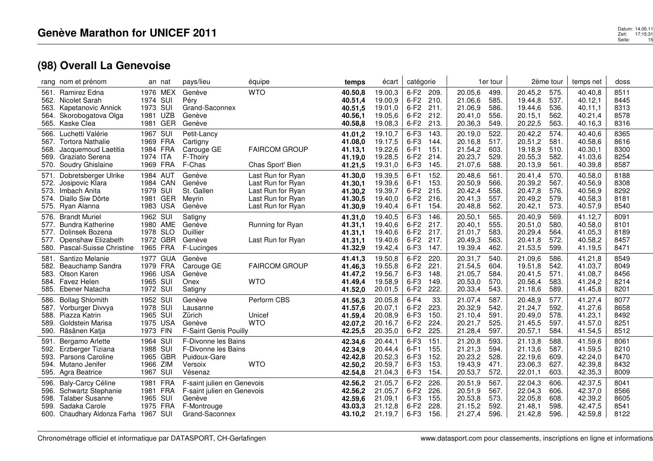|                                      | rang nom et prénom                                                                                                          | an nat                                                   |                                        | pays/lieu                                                                                           | équipe                                                                                                | temps                                               | écart                                               | catégorie                                      |                                      |                                                     | 1er tour                             |                                                     | 2ème tour                            | temps net                                           | doss                                 |
|--------------------------------------|-----------------------------------------------------------------------------------------------------------------------------|----------------------------------------------------------|----------------------------------------|-----------------------------------------------------------------------------------------------------|-------------------------------------------------------------------------------------------------------|-----------------------------------------------------|-----------------------------------------------------|------------------------------------------------|--------------------------------------|-----------------------------------------------------|--------------------------------------|-----------------------------------------------------|--------------------------------------|-----------------------------------------------------|--------------------------------------|
| 561.<br>562.<br>563.<br>564.<br>565. | <b>Ramirez Edna</b><br>Nicolet Sarah<br>Kapetanovic Annick<br>Skorobogatova Olga<br>Kaske Clea                              | 1976<br>1974<br>1973 SUI<br>1981<br>1981                 | MEX<br>SUI<br><b>UZB</b><br><b>GER</b> | Genève<br>Péry<br>Grand-Saconnex<br>Genève<br>Genève                                                | <b>WTO</b>                                                                                            | 40.50,8<br>40.51,4<br>40.51.5<br>40.56,1<br>40.58,8 | 19.00,3<br>19.00,9<br>19.01.0<br>19.05,6<br>19.08,3 | $6-F2$<br>$6-F2$<br>$6-F2$<br>$6-F2$<br>$6-F2$ | 209.<br>210.<br>211.<br>212.<br>213. | 20.05,6<br>21.06,6<br>21.06,9<br>20.41,0<br>20.36,3 | 499.<br>585.<br>586<br>556.<br>549.  | 20.45,2<br>19.44,8<br>19.44,6<br>20.15,1<br>20.22,5 | 575.<br>537.<br>536.<br>562.<br>563. | 40.40,8<br>40.12,1<br>40.11.1<br>40.21,4<br>40.16,3 | 8511<br>8445<br>8313<br>8578<br>8316 |
| 566.<br>567.<br>568.<br>569.<br>570. | Luchetti Valérie<br><b>Tortora Nathalie</b><br>Jacquemoud Laetitia<br>Graziato Serena<br>Soudry Ghislaine                   | 1967<br>1969 FRA<br>1984 FRA<br>1974 ITA<br>1969 FRA     | SUI                                    | Petit-Lancy<br>Cartigny<br>Carouge GE<br>F-Thoiry<br>F-Chas                                         | <b>FAIRCOM GROUP</b><br>Chas Sport' Bien                                                              | 41.01,2<br>41.08,0<br>41.13,1<br>41.19,0<br>41.21,5 | 19.10,7<br>19.17,5<br>19.22,6<br>19.28,5<br>19.31,0 | $6-F3$<br>$6-F3$<br>$6-F1$<br>$6-F2$<br>$6-F3$ | 143<br>144.<br>151.<br>214.<br>145.  | 20.19,0<br>20.16,8<br>21.54,2<br>20.23,7<br>21.07,6 | 522.<br>517.<br>603.<br>529.<br>588. | 20.42,2<br>20.51,2<br>19.18,9<br>20.55,3<br>20.13,9 | 574.<br>581.<br>510.<br>582.<br>561. | 40.40.6<br>40.58,6<br>40.30,1<br>41.03,6<br>40.39,8 | 8365<br>8616<br>8300<br>8254<br>8587 |
| 571.<br>572.<br>573.<br>574.<br>575. | Dobretsberger Ulrike<br>Josipovic Klara<br>Imbach Anita<br>Diallo Siw Dörte<br>Ryan Alanna                                  | 1984 AUT<br>1984 CAN<br>1979 SUI<br>1981<br>1983 USA     | GER                                    | Genève<br>Genève<br>St. Gallen<br>Meyrin<br>Genève                                                  | Last Run for Ryan<br>Last Run for Ryan<br>Last Run for Ryan<br>Last Run for Ryan<br>Last Run for Ryan | 41.30,0<br>41.30,1<br>41.30,2<br>41.30,5<br>41.30,9 | 19.39,5<br>19.39,6<br>19.39,7<br>19.40,0<br>19.40,4 | $6-F1$<br>$6-F1$<br>$6-F2$<br>$6-F2$<br>$6-F1$ | 152.<br>153.<br>215.<br>216.<br>154. | 20.48.6<br>20.50,9<br>20.42,4<br>20.41,3<br>20.48,8 | 561.<br>566.<br>558.<br>557.<br>562. | 20.41.4<br>20.39,2<br>20.47,8<br>20.49,2<br>20.42,1 | 570.<br>567.<br>576.<br>579.<br>573. | 40.58,0<br>40.56,9<br>40.56,9<br>40.58,3<br>40.57,9 | 8188<br>8308<br>8292<br>8181<br>8540 |
| 576.<br>577.<br>577.<br>577.         | <b>Brandt Muriel</b><br><b>Bundra Katherine</b><br>Dolinsek Bozena<br>Openshaw Elizabeth<br>580. Pascal-Suisse Christine    | 1962 SUI<br>1980<br>1978 SLO<br>1972<br>1965 FRA         | AME<br><b>GBR</b>                      | Satigny<br>Genève<br>Duillier<br>Genève<br>F-Lucinges                                               | Running for Ryan<br>Last Run for Ryan                                                                 | 41.31,0<br>41.31,1<br>41.31,1<br>41.31,1<br>41.32,9 | 19.40,5<br>19.40,6<br>19.40,6<br>19.40,6<br>19.42,4 | $6-F3$<br>$6-F2$<br>$6-F2$<br>$6-F2$<br>$6-F3$ | 146<br>217.<br>217.<br>217.<br>147.  | 20.50,1<br>20.40.1<br>21.01,7<br>20.49,3<br>19.39,4 | 565.<br>555.<br>583.<br>563.<br>462. | 20.40,9<br>20.51,0<br>20.29,4<br>20.41,8<br>21.53,5 | 569.<br>580.<br>564.<br>572.<br>599. | 41.12,7<br>40.58,0<br>41.05,3<br>40.58,2<br>41.19,5 | 8091<br>8101<br>8189<br>8457<br>8471 |
| 581.<br>582.<br>583.<br>584.<br>585. | Santizo Melanie<br>Beauchamp Sandra<br>Olson Karen<br>Favez Helen<br>Ebener Natacha                                         | 1977<br>1979 FRA<br>1966<br>1965 SUI<br>1972 SUI         | <b>GUA</b><br>USA                      | Genève<br>Carouge GE<br>Genève<br>Onex<br>Satigny                                                   | <b>FAIRCOM GROUP</b><br><b>WTO</b>                                                                    | 41.41,3<br>41.46,3<br>41.47,2<br>41.49,4<br>41.52,0 | 19.50,8<br>19.55,8<br>19.56,7<br>19.58,9<br>20.01,5 | $6-F2$<br>$6-F2$<br>$6-F3$<br>$6-F3$<br>$6-F2$ | 220<br>221.<br>148.<br>149<br>222.   | 20.31,7<br>21.54.5<br>21.05,7<br>20.53,0<br>20.33,4 | 540.<br>604.<br>584.<br>570.<br>543. | 21.09,6<br>19.51.8<br>20.41,5<br>20.56,4<br>21.18,6 | 586.<br>542.<br>571.<br>583.<br>589. | 41.21,8<br>41.03.7<br>41.08.7<br>41.24,2<br>41.45,8 | 8549<br>8049<br>8456<br>8214<br>8201 |
| 586.<br>587.<br>588.<br>589.<br>590. | <b>Bollag Shlomith</b><br>Vorburger Divvya<br>Piazza Katrin<br>Goldstein Marisa<br>Räsänen Katja                            | 1952 SUI<br>1978 SUI<br>1965 SUI<br>1975 USA<br>1973 FIN |                                        | Genève<br>Lausanne<br>Zürich<br>Genève<br>F-Saint Genis Pouilly                                     | Perform CBS<br>Unicef<br><b>WTO</b>                                                                   | 41.56,3<br>41.57,6<br>41.59,4<br>42.07,2<br>42.25,5 | 20.05,8<br>20.07,1<br>20.08,9<br>20.16,7<br>20.35,0 | $6-F4$<br>$6-F2$<br>$6-F3$<br>$6-F2$<br>$6-F2$ | 33.<br>223<br>150.<br>224.<br>225.   | 21.07,4<br>20.32,9<br>21.10,4<br>20.21,7<br>21.28,4 | 587.<br>542.<br>591.<br>525.<br>597. | 20.48,9<br>21.24,7<br>20.49,0<br>21.45,5<br>20.57,1 | 577.<br>592.<br>578.<br>597.<br>584. | 41.27,4<br>41.27,6<br>41.23,1<br>41.57,0<br>41.54,5 | 8077<br>8658<br>8492<br>8251<br>8512 |
| 591.<br>592.<br>593.<br>594.<br>595. | Bergamo Arlette<br>Erzberger Tiziana<br>Parsons Caroline<br>Mutano Jenifer<br>Agra Beatrice                                 | 1964<br>1988 SUI<br>1965<br>1966<br>1967 SUI             | SUI<br>GBR<br><b>ZIM</b>               | F-Divonne les Bains<br>F-Divonne les Bains<br>Puidoux-Gare<br>Versoix<br>Vésenaz                    | <b>WTO</b>                                                                                            | 42.34,6<br>42.34,9<br>42.42,8<br>42.50,2<br>42.54,8 | 20.44,1<br>20.44,4<br>20.52,3<br>20.59,7<br>21.04,3 | $6-F3$<br>$6-F1$<br>$6-F3$<br>$6-F3$<br>$6-F3$ | 151.<br>155.<br>152.<br>153.<br>154. | 21.20,8<br>21.21,3<br>20.23,2<br>19.43,9<br>20.53,7 | 593.<br>594.<br>528.<br>471.<br>572. | 21.13,8<br>21.13,6<br>22.19,6<br>23.06,3<br>22.01,1 | 588.<br>587.<br>609.<br>627.<br>603. | 41.59,6<br>41.59,5<br>42.24,0<br>42.39,8<br>42.35,3 | 8061<br>8210<br>8470<br>8432<br>8009 |
| 596.<br>596.<br>598.<br>599.         | Baly-Carcy Céline<br>Schwartz Stephanie<br><b>Talaber Susanne</b><br>Sadaka Carole<br>600. Chaudhary Aldonza Farha 1967 SUI | 1981<br>1981<br>1965 SUI<br>1975 FRA                     | <b>FRA</b><br>FRA                      | F-saint julien en Genevois<br>F-saint julien en Genevois<br>Genève<br>F-Montrouge<br>Grand-Saconnex |                                                                                                       | 42.56,2<br>42.56,2<br>42.59.6<br>43.03,3<br>43.10,2 | 21.05,7<br>21.05,7<br>21.09.1<br>21.12,8<br>21.19,7 | $6-F2$<br>$6-F2$<br>$6-F3$<br>$6-F2$<br>$6-F3$ | 226.<br>226<br>155.<br>228<br>156.   | 20.51,9<br>20.51,9<br>20.53,8<br>21.15,2<br>21.27,4 | 567.<br>567.<br>573.<br>592.<br>596. | 22.04,3<br>22.04,3<br>22.05,8<br>21.48,1<br>21.42,8 | 606.<br>606.<br>608.<br>598.<br>596. | 42.37,5<br>42.37,0<br>42.39,2<br>42.47,5<br>42.59,8 | 8041<br>8566<br>8605<br>8541<br>8122 |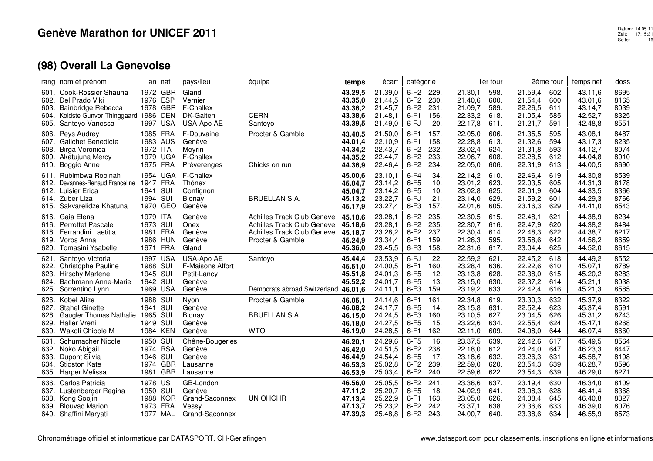| rang nom et prénom                                                                                                                                        | an nat                                                                             | pays/lieu                                                         | équipe                                                                                                     | temps                                               | écart                                               | catégorie                                      |                                      |                                                     | 1er tour                             |                                                     | 2ème tour                            | temps net                                           | doss                                 |
|-----------------------------------------------------------------------------------------------------------------------------------------------------------|------------------------------------------------------------------------------------|-------------------------------------------------------------------|------------------------------------------------------------------------------------------------------------|-----------------------------------------------------|-----------------------------------------------------|------------------------------------------------|--------------------------------------|-----------------------------------------------------|--------------------------------------|-----------------------------------------------------|--------------------------------------|-----------------------------------------------------|--------------------------------------|
| Cook-Rossier Shauna<br>601.<br>Del Prado Viki<br>602.<br>603.<br>Bainbridge Rebecca<br>Koldste Gunvor Thinggaard 1986<br>604.<br>Santoyo Vanessa<br>605.  | 1972<br><b>GBR</b><br>1976<br><b>ESP</b><br>1978 GBR<br>DEN<br><b>USA</b><br>1997  | Gland<br>Vernier<br>F-Challex<br>DK-Galten<br>USA-Apo AE          | <b>CERN</b><br>Santoyo                                                                                     | 43.29,5<br>43.35,0<br>43.36.2<br>43.38,6<br>43.39,5 | 21.39,0<br>21.44,5<br>21.45,7<br>21.48,1<br>21.49,0 | $6-F2$<br>$6-F2$<br>$6-F2$<br>$6-F1$<br>6-FJ   | 229.<br>230.<br>231.<br>156.<br>20.  | 21.30,1<br>21.40,6<br>21.09,7<br>22.33,2<br>22.17,8 | 598.<br>600.<br>589<br>618.<br>611.  | 21.59,4<br>21.54,4<br>22.26,5<br>21.05,4<br>21.21,7 | 602.<br>600.<br>611.<br>585.<br>591. | 43.11,6<br>43.01,6<br>43.14,7<br>42.52,7<br>42.48,8 | 8695<br>8165<br>8039<br>8325<br>8551 |
| Peys Audrey<br>606.<br>607.<br><b>Galichet Benedicte</b><br>Birga Veronica<br>608.<br>Akatujuna Mercy<br>609.<br>Boggio Anne<br>610.                      | 1985 FRA<br>1983 AUS<br>1972 ITA<br>1979 UGA<br>1975 FRA                           | F-Douvaine<br>Genève<br>Meyrin<br>F-Challex<br>Préverenges        | Procter & Gamble<br>Chicks on run                                                                          | 43.40,5<br>44.01,4<br>44.34,2<br>44.35,2<br>44.36,9 | 21.50,0<br>22.10,9<br>22.43,7<br>22.44,7<br>22.46,4 | $6-F1$<br>$6-F1$<br>$6-F2$<br>$6-F2$<br>$6-F2$ | 157.<br>158.<br>232.<br>233.<br>234. | 22.05,0<br>22.28,8<br>23.02,4<br>22.06,7<br>22.05,0 | 606.<br>613.<br>624.<br>608.<br>606. | 21.35,5<br>21.32,6<br>21.31,8<br>22.28,5<br>22.31,9 | 595.<br>594.<br>593.<br>612.<br>613. | 43.08,1<br>43.17,3<br>44.12,7<br>44.04,8<br>44.00,5 | 8487<br>8235<br>8074<br>8010<br>8690 |
| Rubimbwa Robinah<br>611.<br>Devannes-Renaud Franceline<br>612.<br>612.<br>Luisier Erica<br>Zuber Liza<br>614.<br>Sakvarelidze Khatuna<br>615.             | UGA<br>1954<br>1947<br><b>FRA</b><br>1941 SUI<br>SUI<br>1994<br>1970<br>GEO        | F-Challex<br>Thônex<br>Confignon<br>Blonay<br>Genève              | <b>BRUELLAN S.A.</b>                                                                                       | 45.00,6<br>45.04,7<br>45.04,7<br>45.13,2<br>45.17,9 | 23.10,1<br>23.14,2<br>23.14,2<br>23.22,7<br>23.27,4 | $6-F4$<br>$6-F5$<br>$6-F5$<br>6-FJ<br>$6-F3$   | 34.<br>10.<br>10.<br>21.<br>157.     | 22.14,2<br>23.01,2<br>23.02,8<br>23.14,0<br>22.01,6 | 610.<br>623.<br>625.<br>629.<br>605. | 22.46.4<br>22.03,5<br>22.01,9<br>21.59,2<br>23.16,3 | 619.<br>605.<br>604.<br>601.<br>629. | 44.30.8<br>44.31,3<br>44.33,5<br>44.29,3<br>44.41,0 | 8539<br>8178<br>8366<br>8766<br>8543 |
| Gaia Elena<br>616.<br><b>Perrottet Pascale</b><br>616.<br>Ferrandini Laetitia<br>618.<br>Voros Anna<br>619.<br>620.<br>Tomasini Ysabelle                  | 1979 ITA<br>1973 SUI<br>1981 FRA<br>1986 HUN<br>FRA<br>1971                        | Genève<br>Onex<br>Genève<br>Genève<br>Gland                       | Achilles Track Club Geneve<br>Achilles Track Club Geneve<br>Achilles Track Club Geneve<br>Procter & Gamble | 45.18,6<br>45.18,6<br>45.18,7<br>45.24,9<br>45.36,0 | 23.28,1<br>23.28,1<br>23.28,2<br>23.34,4<br>23.45,5 | $6-F2$<br>$6-F2$<br>$6-F2$<br>$6-F1$<br>$6-F3$ | 235.<br>235.<br>237.<br>159.<br>158. | 22.30,5<br>22.30,7<br>22.30,4<br>21.26,3<br>22.31,6 | 615.<br>616.<br>614.<br>595.<br>617. | 22.48,1<br>22.47,9<br>22.48,3<br>23.58,6<br>23.04,4 | 621.<br>620.<br>622.<br>642.<br>625. | 44.38,9<br>44.38,2<br>44.38,7<br>44.56,2<br>44.52,0 | 8234<br>8484<br>8217<br>8659<br>8615 |
| Santoyo Victoria<br>621.<br><b>Christophe Pauline</b><br>622.<br>623.<br><b>Hirschy Marlene</b><br>Bachmann Anne-Marie<br>624.<br>Sorrentino Lynn<br>625. | 1997<br><b>USA</b><br>1988 SUI<br>1945 SUI<br>1942<br>SUI<br>1969 USA              | USA-Apo AE<br>F-Maisons Alfort<br>Petit-Lancy<br>Genève<br>Genève | Santoyo<br>Democrats abroad Switzerland 46.01,6                                                            | 45.44,4<br>45.51,0<br>45.51,8<br>45.52,2            | 23.53,9<br>24.00.5<br>24.01,3<br>24.01,7<br>24.11,1 | 6-FJ<br>$6-F1$<br>$6-F5$<br>$6-F5$<br>$6-F3$   | 22.<br>160.<br>12.<br>13.<br>159.    | 22.59,2<br>23.28,4<br>23.13,8<br>23.15,0<br>23.19,2 | 621.<br>636.<br>628.<br>630.<br>633. | 22.45,2<br>22.22,6<br>22.38,0<br>22.37,2<br>22.42,4 | 618.<br>610.<br>615.<br>614.<br>616. | 44.49,2<br>45.07,1<br>45.20,2<br>45.21,1<br>45.21,3 | 8552<br>8789<br>8283<br>8038<br>8585 |
| Kobel Alize<br>626.<br><b>Stahel Ginette</b><br>627.<br><b>Gaugler Thomas Nathalie</b><br>628.<br>629.<br><b>Haller Vreni</b><br>Wakoli Chibole M<br>630. | SUI<br>1988<br>SUI<br>1941<br>1965<br>SUI<br>1949<br>SUI<br>1984 KEN               | Nyon<br>Genève<br>Blonay<br>Genève<br>Genève                      | Procter & Gamble<br><b>BRUELLAN S.A.</b><br><b>WTO</b>                                                     | 46.05,1<br>46.08,2<br>46.15,0<br>46.18.0<br>46.19,0 | 24.14,6<br>24.17,7<br>24.24,5<br>24.27,5<br>24.28,5 | $6-F1$<br>$6-F5$<br>$6-F3$<br>$6-F5$<br>$6-F1$ | 161.<br>14.<br>160.<br>15.<br>162.   | 22.34,8<br>23.15,8<br>23.10,5<br>23.22,6<br>22.11,0 | 619.<br>631.<br>627.<br>634.<br>609. | 23.30,3<br>22.52,4<br>23.04,5<br>22.55,4<br>24.08,0 | 632.<br>623.<br>626.<br>624.<br>644. | 45.37,9<br>45.37,4<br>45.31,2<br>45.47,1<br>46.07,4 | 8322<br>8591<br>8743<br>8268<br>8660 |
| Schumacher Nicole<br>631.<br>Noko Abigail<br>632.<br>633.<br>Dupont Silvia<br><b>Stidston Kate</b><br>634.<br>Harper Melissa<br>635.                      | SUI<br>1950<br>1974 RSA<br>1946<br>SUI<br><b>GBR</b><br>1974<br><b>GBR</b><br>1981 | Chêne-Bougeries<br>Genève<br>Genève<br>Lausanne<br>Lausanne       |                                                                                                            | 46.20,1<br>46.42.0<br>46.44,9<br>46.53,3<br>46.53,9 | 24.29,6<br>24.51,5<br>24.54,4<br>25.02,8<br>25.03,4 | $6-F5$<br>$6-F2$<br>$6-F5$<br>$6-F2$<br>$6-F2$ | 16.<br>238.<br>17.<br>239.<br>240.   | 23.37,5<br>22.18,0<br>23.18,6<br>22.59,0<br>22.59,6 | 639.<br>612.<br>632.<br>620.<br>622. | 22.42,6<br>24.24,0<br>23.26,3<br>23.54,3<br>23.54,3 | 617.<br>647.<br>631.<br>639.<br>639. | 45.49,5<br>46.23,3<br>45.58,7<br>46.28,7<br>46.29,0 | 8564<br>8447<br>8198<br>8596<br>8271 |
| Carlos Patricia<br>636.<br>Lustenberger Regina<br>637.<br>638.<br>Kong Soojin<br><b>Blouvac Marion</b><br>639.<br>640. Shaffini Maryati                   | 1978<br>US<br>1950 SUI<br>1988 KOR<br>1973<br><b>FRA</b><br>1977 MAL               | GB-London<br>Genève<br>Grand-Saconnex<br>Vessy<br>Grand-Saconnex  | UN OHCHR                                                                                                   | 46.56,0<br>47.11,2<br>47.13,4<br>47.13,7<br>47.39,3 | 25.05,5<br>25.20,7<br>25.22,9<br>25.23,2<br>25.48,8 | $6-F2$<br>$6-F5$<br>$6-F1$<br>$6-F2$<br>6-F2   | 241.<br>18.<br>163.<br>242.<br>243.  | 23.36,6<br>24.02,9<br>23.05,0<br>23.37,1<br>24.00,7 | 637.<br>641.<br>626.<br>638.<br>640. | 23.19,4<br>23.08,3<br>24.08,4<br>23.36,6<br>23.38,6 | 630.<br>628.<br>645.<br>633.<br>634. | 46.34,0<br>46.41,4<br>46.40,8<br>46.39,0<br>46.55,9 | 8109<br>8368<br>8327<br>8076<br>8573 |